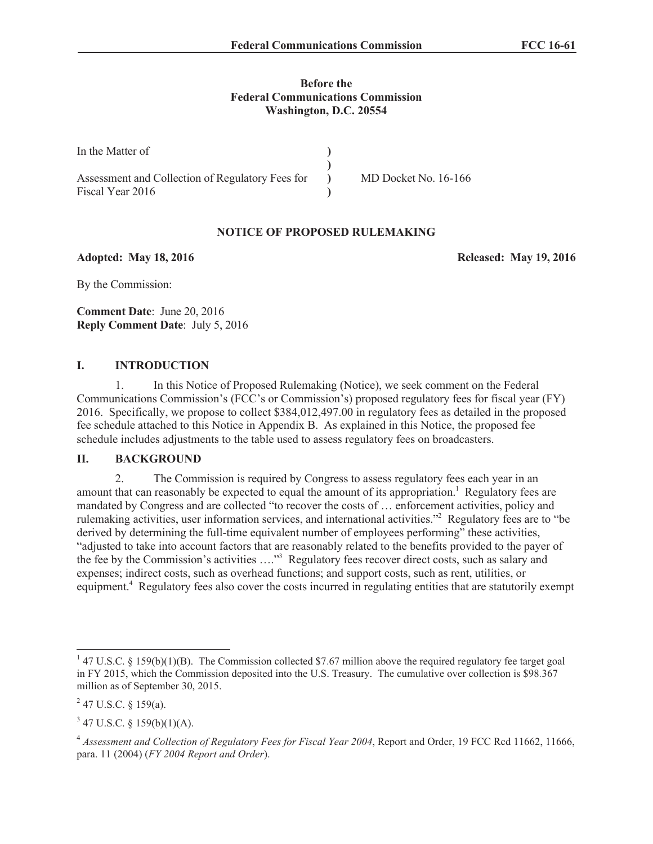### **Before the Federal Communications Commission Washington, D.C. 20554**

| In the Matter of                                 |                      |
|--------------------------------------------------|----------------------|
|                                                  |                      |
| Assessment and Collection of Regulatory Fees for | MD Docket No. 16-166 |
| Fiscal Year 2016                                 |                      |

# **NOTICE OF PROPOSED RULEMAKING**

**Adopted: May 18, 2016 Released: May 19, 2016**

By the Commission:

**Comment Date**: June 20, 2016 **Reply Comment Date**: July 5, 2016

## **I. INTRODUCTION**

1. In this Notice of Proposed Rulemaking (Notice), we seek comment on the Federal Communications Commission's (FCC's or Commission's) proposed regulatory fees for fiscal year (FY) 2016. Specifically, we propose to collect \$384,012,497.00 in regulatory fees as detailed in the proposed fee schedule attached to this Notice in Appendix B. As explained in this Notice, the proposed fee schedule includes adjustments to the table used to assess regulatory fees on broadcasters.

#### **II. BACKGROUND**

2. The Commission is required by Congress to assess regulatory fees each year in an amount that can reasonably be expected to equal the amount of its appropriation.<sup>1</sup> Regulatory fees are mandated by Congress and are collected "to recover the costs of … enforcement activities, policy and rulemaking activities, user information services, and international activities."<sup>2</sup> Regulatory fees are to "be derived by determining the full-time equivalent number of employees performing" these activities, "adjusted to take into account factors that are reasonably related to the benefits provided to the payer of the fee by the Commission's activities …."<sup>3</sup> Regulatory fees recover direct costs, such as salary and expenses; indirect costs, such as overhead functions; and support costs, such as rent, utilities, or equipment.<sup>4</sup> Regulatory fees also cover the costs incurred in regulating entities that are statutorily exempt

<sup>&</sup>lt;sup>1</sup> 47 U.S.C. § 159(b)(1)(B). The Commission collected \$7.67 million above the required regulatory fee target goal in FY 2015, which the Commission deposited into the U.S. Treasury. The cumulative over collection is \$98.367 million as of September 30, 2015.

 $^{2}$  47 U.S.C. § 159(a).

 $3$  47 U.S.C. § 159(b)(1)(A).

<sup>&</sup>lt;sup>4</sup> Assessment and Collection of Regulatory Fees for Fiscal Year 2004, Report and Order, 19 FCC Rcd 11662, 11666, para. 11 (2004) (*FY 2004 Report and Order*).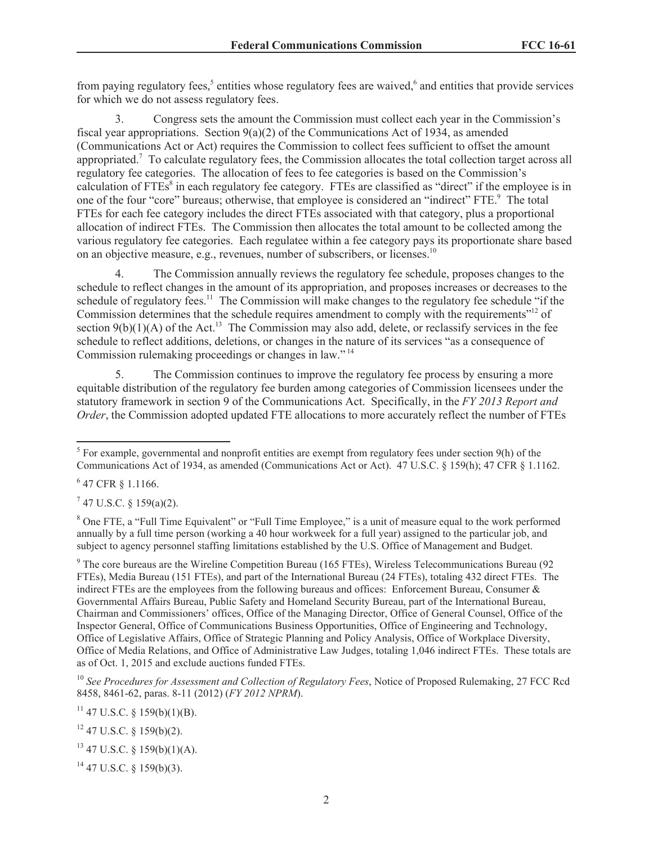from paying regulatory fees,<sup>5</sup> entities whose regulatory fees are waived,<sup>6</sup> and entities that provide services for which we do not assess regulatory fees.

3. Congress sets the amount the Commission must collect each year in the Commission's fiscal year appropriations. Section  $9(a)(2)$  of the Communications Act of 1934, as amended (Communications Act or Act) requires the Commission to collect fees sufficient to offset the amount appropriated.<sup>7</sup> To calculate regulatory fees, the Commission allocates the total collection target across all regulatory fee categories. The allocation of fees to fee categories is based on the Commission's calculation of FTEs<sup>8</sup> in each regulatory fee category. FTEs are classified as "direct" if the employee is in one of the four "core" bureaus; otherwise, that employee is considered an "indirect" FTE.<sup>9</sup> The total FTEs for each fee category includes the direct FTEs associated with that category, plus a proportional allocation of indirect FTEs. The Commission then allocates the total amount to be collected among the various regulatory fee categories. Each regulatee within a fee category pays its proportionate share based on an objective measure, e.g., revenues, number of subscribers, or licenses.<sup>10</sup>

4. The Commission annually reviews the regulatory fee schedule, proposes changes to the schedule to reflect changes in the amount of its appropriation, and proposes increases or decreases to the schedule of regulatory fees.<sup>11</sup> The Commission will make changes to the regulatory fee schedule "if the Commission determines that the schedule requires amendment to comply with the requirements"<sup>12</sup> of section  $9(b)(1)(A)$  of the Act.<sup>13</sup> The Commission may also add, delete, or reclassify services in the fee schedule to reflect additions, deletions, or changes in the nature of its services "as a consequence of Commission rulemaking proceedings or changes in law." <sup>14</sup>

5. The Commission continues to improve the regulatory fee process by ensuring a more equitable distribution of the regulatory fee burden among categories of Commission licensees under the statutory framework in section 9 of the Communications Act. Specifically, in the *FY 2013 Report and Order*, the Commission adopted updated FTE allocations to more accurately reflect the number of FTEs

6 47 CFR § 1.1166.

 $7$  47 U.S.C. § 159(a)(2).

<sup>8</sup> One FTE, a "Full Time Equivalent" or "Full Time Employee," is a unit of measure equal to the work performed annually by a full time person (working a 40 hour workweek for a full year) assigned to the particular job, and subject to agency personnel staffing limitations established by the U.S. Office of Management and Budget.

<sup>9</sup> The core bureaus are the Wireline Competition Bureau (165 FTEs), Wireless Telecommunications Bureau (92 FTEs), Media Bureau (151 FTEs), and part of the International Bureau (24 FTEs), totaling 432 direct FTEs. The indirect FTEs are the employees from the following bureaus and offices: Enforcement Bureau, Consumer & Governmental Affairs Bureau, Public Safety and Homeland Security Bureau, part of the International Bureau, Chairman and Commissioners' offices, Office of the Managing Director, Office of General Counsel, Office of the Inspector General, Office of Communications Business Opportunities, Office of Engineering and Technology, Office of Legislative Affairs, Office of Strategic Planning and Policy Analysis, Office of Workplace Diversity, Office of Media Relations, and Office of Administrative Law Judges, totaling 1,046 indirect FTEs. These totals are as of Oct. 1, 2015 and exclude auctions funded FTEs.

<sup>10</sup> See Procedures for Assessment and Collection of Regulatory Fees, Notice of Proposed Rulemaking, 27 FCC Rcd 8458, 8461-62, paras. 8-11 (2012) (*FY 2012 NPRM*).

 $11$  47 U.S.C. § 159(b)(1)(B).

 $12$  47 U.S.C. § 159(b)(2).

 $13$  47 U.S.C. § 159(b)(1)(A).

 $14$  47 U.S.C. § 159(b)(3).

 $<sup>5</sup>$  For example, governmental and nonprofit entities are exempt from regulatory fees under section 9(h) of the</sup> Communications Act of 1934, as amended (Communications Act or Act). 47 U.S.C. § 159(h); 47 CFR § 1.1162.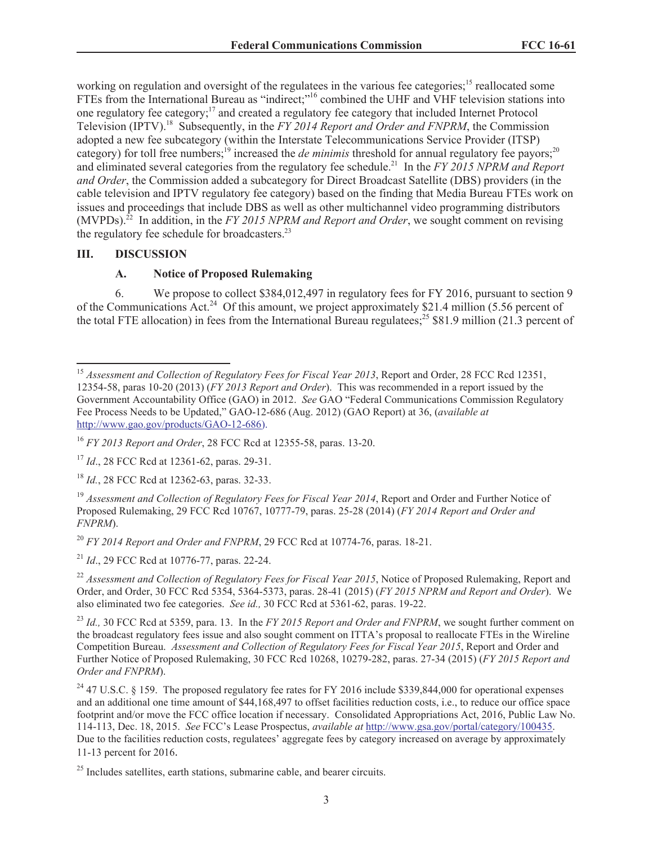working on regulation and oversight of the regulatees in the various fee categories;<sup>15</sup> reallocated some FTEs from the International Bureau as "indirect;"<sup>16</sup> combined the UHF and VHF television stations into one regulatory fee category;<sup>17</sup> and created a regulatory fee category that included Internet Protocol Television (IPTV).<sup>18</sup> Subsequently, in the *FY 2014 Report and Order and FNPRM*, the Commission adopted a new fee subcategory (within the Interstate Telecommunications Service Provider (ITSP) category) for toll free numbers;<sup>19</sup> increased the *de minimis* threshold for annual regulatory fee payors;<sup>20</sup> and eliminated several categories from the regulatory fee schedule.<sup>21</sup> In the *FY 2015 NPRM and Report and Order*, the Commission added a subcategory for Direct Broadcast Satellite (DBS) providers (in the cable television and IPTV regulatory fee category) based on the finding that Media Bureau FTEs work on issues and proceedings that include DBS as well as other multichannel video programming distributors (MVPDs). <sup>22</sup> In addition, in the *FY 2015 NPRM and Report and Order*, we sought comment on revising the regulatory fee schedule for broadcasters. $^{23}$ 

#### **III. DISCUSSION**

#### **A. Notice of Proposed Rulemaking**

6. We propose to collect \$384,012,497 in regulatory fees for FY 2016, pursuant to section 9 of the Communications Act.<sup>24</sup> Of this amount, we project approximately \$21.4 million (5.56 percent of the total FTE allocation) in fees from the International Bureau regulatees;<sup>25</sup> \$81.9 million (21.3 percent of

<sup>21</sup> *Id*., 29 FCC Rcd at 10776-77, paras. 22-24.

<sup>22</sup> Assessment and Collection of Regulatory Fees for Fiscal Year 2015, Notice of Proposed Rulemaking, Report and Order, and Order, 30 FCC Rcd 5354, 5364-5373, paras. 28-41 (2015) (*FY 2015 NPRM and Report and Order*). We also eliminated two fee categories. *See id.,* 30 FCC Rcd at 5361-62, paras. 19-22.

<sup>&</sup>lt;sup>15</sup> Assessment and Collection of Regulatory Fees for Fiscal Year 2013, Report and Order, 28 FCC Rcd 12351, 12354-58, paras 10-20 (2013) (*FY 2013 Report and Order*). This was recommended in a report issued by the Government Accountability Office (GAO) in 2012. *See* GAO "Federal Communications Commission Regulatory Fee Process Needs to be Updated," GAO-12-686 (Aug. 2012) (GAO Report) at 36, (*available at* http://www.gao.gov/products/GAO-12-686).

<sup>16</sup> *FY 2013 Report and Order*, 28 FCC Rcd at 12355-58, paras. 13-20.

<sup>&</sup>lt;sup>17</sup> *Id.*, 28 FCC Rcd at 12361-62, paras. 29-31.

<sup>18</sup> *Id.*, 28 FCC Rcd at 12362-63, paras. 32-33.

<sup>&</sup>lt;sup>19</sup> Assessment and Collection of Regulatory Fees for Fiscal Year 2014, Report and Order and Further Notice of Proposed Rulemaking, 29 FCC Rcd 10767, 10777-79, paras. 25-28 (2014) (*FY 2014 Report and Order and FNPRM*).

<sup>20</sup> *FY 2014 Report and Order and FNPRM*, 29 FCC Rcd at 10774-76, paras. 18-21.

<sup>23</sup> *Id.,* 30 FCC Rcd at 5359, para. 13. In the *FY 2015 Report and Order and FNPRM*, we sought further comment on the broadcast regulatory fees issue and also sought comment on ITTA's proposal to reallocate FTEs in the Wireline Competition Bureau. *Assessment and Collection of Regulatory Fees for Fiscal Year 2015*, Report and Order and Further Notice of Proposed Rulemaking, 30 FCC Rcd 10268, 10279-282, paras. 27-34 (2015) (*FY 2015 Report and Order and FNPRM*).

<sup>&</sup>lt;sup>24</sup> 47 U.S.C. § 159. The proposed regulatory fee rates for FY 2016 include \$339,844,000 for operational expenses and an additional one time amount of \$44,168,497 to offset facilities reduction costs, i.e., to reduce our office space footprint and/or move the FCC office location if necessary. Consolidated Appropriations Act, 2016, Public Law No. 114-113, Dec. 18, 2015. *See* FCC's Lease Prospectus, *available at* http://www.gsa.gov/portal/category/100435. Due to the facilities reduction costs, regulatees' aggregate fees by category increased on average by approximately 11-13 percent for 2016.

 $25$  Includes satellites, earth stations, submarine cable, and bearer circuits.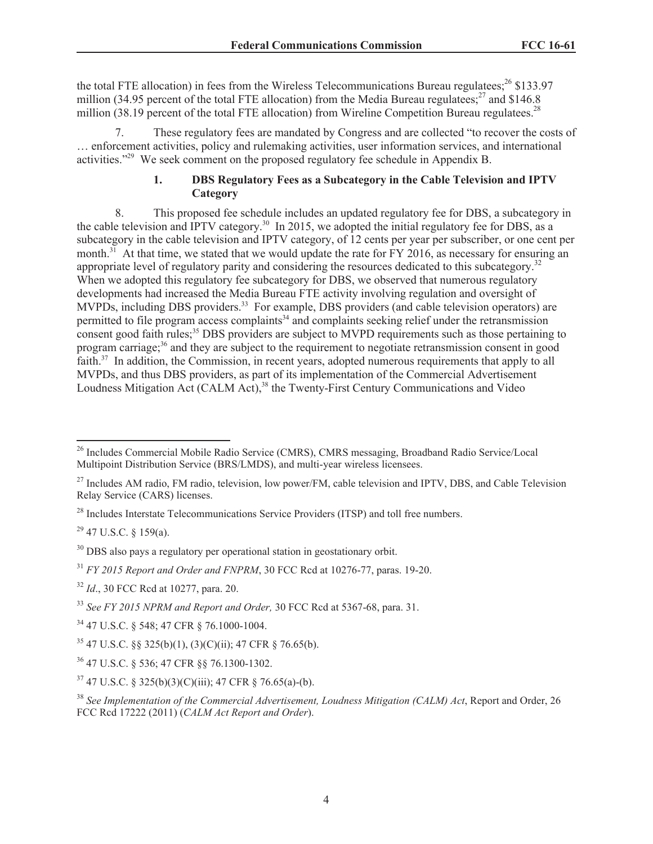the total FTE allocation) in fees from the Wireless Telecommunications Bureau regulatees;<sup>26</sup> \$133.97 million (34.95 percent of the total FTE allocation) from the Media Bureau regulatees;<sup>27</sup> and \$146.8 million (38.19 percent of the total FTE allocation) from Wireline Competition Bureau regulatees.<sup>28</sup>

These regulatory fees are mandated by Congress and are collected "to recover the costs of … enforcement activities, policy and rulemaking activities, user information services, and international activities."<sup>29</sup> We seek comment on the proposed regulatory fee schedule in Appendix B.

# **1. DBS Regulatory Fees as a Subcategory in the Cable Television and IPTV Category**

8. This proposed fee schedule includes an updated regulatory fee for DBS, a subcategory in the cable television and IPTV category.<sup>30</sup> In 2015, we adopted the initial regulatory fee for DBS, as a subcategory in the cable television and IPTV category, of 12 cents per year per subscriber, or one cent per month.<sup>31</sup> At that time, we stated that we would update the rate for  $\overline{FY}$  2016, as necessary for ensuring an appropriate level of regulatory parity and considering the resources dedicated to this subcategory.<sup>32</sup> When we adopted this regulatory fee subcategory for DBS, we observed that numerous regulatory developments had increased the Media Bureau FTE activity involving regulation and oversight of MVPDs, including DBS providers.<sup>33</sup> For example, DBS providers (and cable television operators) are permitted to file program access complaints<sup>34</sup> and complaints seeking relief under the retransmission consent good faith rules;<sup>35</sup> DBS providers are subject to MVPD requirements such as those pertaining to program carriage;<sup>36</sup> and they are subject to the requirement to negotiate retransmission consent in good faith.<sup>37</sup> In addition, the Commission, in recent years, adopted numerous requirements that apply to all MVPDs, and thus DBS providers, as part of its implementation of the Commercial Advertisement Loudness Mitigation Act (CALM Act), <sup>38</sup> the Twenty-First Century Communications and Video

 $29$  47 U.S.C. § 159(a).

<sup>30</sup> DBS also pays a regulatory per operational station in geostationary orbit.

<sup>&</sup>lt;sup>26</sup> Includes Commercial Mobile Radio Service (CMRS), CMRS messaging, Broadband Radio Service/Local Multipoint Distribution Service (BRS/LMDS), and multi-year wireless licensees.

<sup>&</sup>lt;sup>27</sup> Includes AM radio, FM radio, television, low power/FM, cable television and IPTV, DBS, and Cable Television Relay Service (CARS) licenses.

<sup>&</sup>lt;sup>28</sup> Includes Interstate Telecommunications Service Providers (ITSP) and toll free numbers.

<sup>31</sup> *FY 2015 Report and Order and FNPRM*, 30 FCC Rcd at 10276-77, paras. 19-20.

<sup>32</sup> *Id*., 30 FCC Rcd at 10277, para. 20.

<sup>33</sup> *See FY 2015 NPRM and Report and Order,* 30 FCC Rcd at 5367-68, para. 31.

<sup>34</sup> 47 U.S.C. § 548; 47 CFR § 76.1000-1004.

 $35$  47 U.S.C. §§ 325(b)(1), (3)(C)(ii); 47 CFR § 76.65(b).

<sup>36</sup> 47 U.S.C. § 536; 47 CFR §§ 76.1300-1302.

 $37$  47 U.S.C. § 325(b)(3)(C)(iii); 47 CFR § 76.65(a)-(b).

<sup>38</sup> *See Implementation of the Commercial Advertisement, Loudness Mitigation (CALM) Act*, Report and Order, 26 FCC Rcd 17222 (2011) (*CALM Act Report and Order*).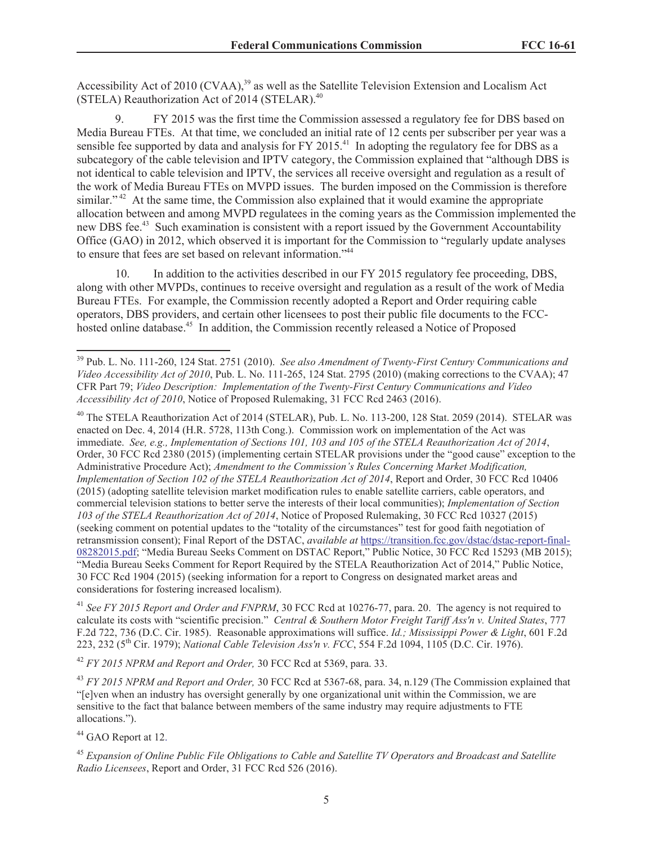Accessibility Act of 2010 (CVAA),<sup>39</sup> as well as the Satellite Television Extension and Localism Act (STELA) Reauthorization Act of 2014 (STELAR).<sup>40</sup>

9. FY 2015 was the first time the Commission assessed a regulatory fee for DBS based on Media Bureau FTEs. At that time, we concluded an initial rate of 12 cents per subscriber per year was a sensible fee supported by data and analysis for FY 2015.<sup>41</sup> In adopting the regulatory fee for DBS as a subcategory of the cable television and IPTV category, the Commission explained that "although DBS is not identical to cable television and IPTV, the services all receive oversight and regulation as a result of the work of Media Bureau FTEs on MVPD issues. The burden imposed on the Commission is therefore similar."<sup>42</sup> At the same time, the Commission also explained that it would examine the appropriate allocation between and among MVPD regulatees in the coming years as the Commission implemented the new DBS fee.<sup>43</sup> Such examination is consistent with a report issued by the Government Accountability Office (GAO) in 2012, which observed it is important for the Commission to "regularly update analyses to ensure that fees are set based on relevant information."<sup>44</sup>

10. In addition to the activities described in our FY 2015 regulatory fee proceeding, DBS, along with other MVPDs, continues to receive oversight and regulation as a result of the work of Media Bureau FTEs. For example, the Commission recently adopted a Report and Order requiring cable operators, DBS providers, and certain other licensees to post their public file documents to the FCChosted online database.<sup>45</sup> In addition, the Commission recently released a Notice of Proposed

<sup>40</sup> The STELA Reauthorization Act of 2014 (STELAR), Pub. L. No. 113-200, 128 Stat. 2059 (2014). STELAR was enacted on Dec. 4, 2014 (H.R. 5728, 113th Cong.). Commission work on implementation of the Act was immediate. *See, e.g., Implementation of Sections 101, 103 and 105 of the STELA Reauthorization Act of 2014*, Order, 30 FCC Rcd 2380 (2015) (implementing certain STELAR provisions under the "good cause" exception to the Administrative Procedure Act); *Amendment to the Commission's Rules Concerning Market Modification, Implementation of Section 102 of the STELA Reauthorization Act of 2014*, Report and Order, 30 FCC Rcd 10406 (2015) (adopting satellite television market modification rules to enable satellite carriers, cable operators, and commercial television stations to better serve the interests of their local communities); *Implementation of Section 103 of the STELA Reauthorization Act of 2014*, Notice of Proposed Rulemaking, 30 FCC Rcd 10327 (2015) (seeking comment on potential updates to the "totality of the circumstances" test for good faith negotiation of retransmission consent); Final Report of the DSTAC, *available at* https://transition.fcc.gov/dstac/dstac-report-final-08282015.pdf; "Media Bureau Seeks Comment on DSTAC Report," Public Notice, 30 FCC Rcd 15293 (MB 2015); "Media Bureau Seeks Comment for Report Required by the STELA Reauthorization Act of 2014," Public Notice, 30 FCC Rcd 1904 (2015) (seeking information for a report to Congress on designated market areas and considerations for fostering increased localism).

<sup>41</sup> See FY 2015 Report and Order and FNPRM, 30 FCC Rcd at 10276-77, para. 20. The agency is not required to calculate its costs with "scientific precision." *Central & Southern Motor Freight Tariff Ass'n v. United States*, 777 F.2d 722, 736 (D.C. Cir. 1985). Reasonable approximations will suffice. *Id.; Mississippi Power & Light*, 601 F.2d 223, 232 (5th Cir. 1979); *National Cable Television Ass'n v. FCC*, 554 F.2d 1094, 1105 (D.C. Cir. 1976).

<sup>42</sup> *FY 2015 NPRM and Report and Order,* 30 FCC Rcd at 5369, para. 33.

<sup>43</sup> *FY 2015 NPRM and Report and Order,* 30 FCC Rcd at 5367-68, para. 34, n.129 (The Commission explained that "[e]ven when an industry has oversight generally by one organizational unit within the Commission, we are sensitive to the fact that balance between members of the same industry may require adjustments to FTE allocations.").

<sup>44</sup> GAO Report at 12.

<sup>45</sup> *Expansion of Online Public File Obligations to Cable and Satellite TV Operators and Broadcast and Satellite Radio Licensees*, Report and Order, 31 FCC Rcd 526 (2016).

<sup>39</sup> Pub. L. No. 111-260, 124 Stat. 2751 (2010). *See also Amendment of Twenty-First Century Communications and Video Accessibility Act of 2010*, Pub. L. No. 111-265, 124 Stat. 2795 (2010) (making corrections to the CVAA); 47 CFR Part 79; *Video Description: Implementation of the Twenty-First Century Communications and Video Accessibility Act of 2010*, Notice of Proposed Rulemaking, 31 FCC Rcd 2463 (2016).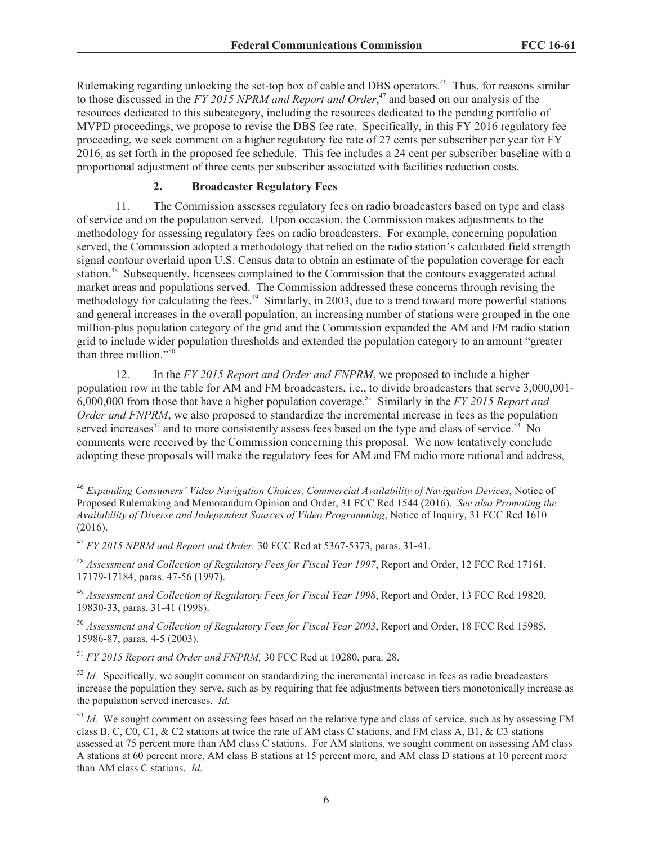Rulemaking regarding unlocking the set-top box of cable and DBS operators.<sup>46</sup> Thus, for reasons similar to those discussed in the *FY 2015 NPRM and Report and Order*, <sup>47</sup> and based on our analysis of the resources dedicated to this subcategory, including the resources dedicated to the pending portfolio of MVPD proceedings, we propose to revise the DBS fee rate. Specifically, in this FY 2016 regulatory fee proceeding, we seek comment on a higher regulatory fee rate of 27 cents per subscriber per year for FY 2016, as set forth in the proposed fee schedule. This fee includes a 24 cent per subscriber baseline with a proportional adjustment of three cents per subscriber associated with facilities reduction costs.

#### **2. Broadcaster Regulatory Fees**

11. The Commission assesses regulatory fees on radio broadcasters based on type and class of service and on the population served. Upon occasion, the Commission makes adjustments to the methodology for assessing regulatory fees on radio broadcasters. For example, concerning population served, the Commission adopted a methodology that relied on the radio station's calculated field strength signal contour overlaid upon U.S. Census data to obtain an estimate of the population coverage for each station.<sup>48</sup> Subsequently, licensees complained to the Commission that the contours exaggerated actual market areas and populations served. The Commission addressed these concerns through revising the methodology for calculating the fees.<sup>49</sup> Similarly, in 2003, due to a trend toward more powerful stations and general increases in the overall population, an increasing number of stations were grouped in the one million-plus population category of the grid and the Commission expanded the AM and FM radio station grid to include wider population thresholds and extended the population category to an amount "greater than three million."<sup>50</sup>

12. In the *FY 2015 Report and Order and FNPRM*, we proposed to include a higher population row in the table for AM and FM broadcasters, i.e., to divide broadcasters that serve 3,000,001- 6,000,000 from those that have a higher population coverage.<sup>51</sup> Similarly in the *FY 2015 Report and Order and FNPRM*, we also proposed to standardize the incremental increase in fees as the population served increases<sup>52</sup> and to more consistently assess fees based on the type and class of service.<sup>53</sup> No comments were received by the Commission concerning this proposal. We now tentatively conclude adopting these proposals will make the regulatory fees for AM and FM radio more rational and address,

<sup>46</sup> *Expanding Consumers' Video Navigation Choices, Commercial Availability of Navigation Devices*, Notice of Proposed Rulemaking and Memorandum Opinion and Order, 31 FCC Rcd 1544 (2016). *See also Promoting the Availability of Diverse and Independent Sources of Video Programming*, Notice of Inquiry, 31 FCC Rcd 1610 (2016).

<sup>47</sup> *FY 2015 NPRM and Report and Order,* 30 FCC Rcd at 5367-5373, paras. 31-41.

<sup>48</sup> *Assessment and Collection of Regulatory Fees for Fiscal Year 1997*, Report and Order, 12 FCC Rcd 17161, 17179-17184, paras. 47-56 (1997).

<sup>49</sup> *Assessment and Collection of Regulatory Fees for Fiscal Year 1998*, Report and Order, 13 FCC Rcd 19820, 19830-33, paras. 31-41 (1998).

<sup>50</sup> *Assessment and Collection of Regulatory Fees for Fiscal Year 2003*, Report and Order, 18 FCC Rcd 15985, 15986-87, paras. 4-5 (2003).

<sup>51</sup> *FY 2015 Report and Order and FNPRM,* 30 FCC Rcd at 10280, para. 28.

 $52$  *Id.* Specifically, we sought comment on standardizing the incremental increase in fees as radio broadcasters increase the population they serve, such as by requiring that fee adjustments between tiers monotonically increase as the population served increases. *Id.*

<sup>&</sup>lt;sup>53</sup> *Id.* We sought comment on assessing fees based on the relative type and class of service, such as by assessing FM class B, C, C0, C1, & C2 stations at twice the rate of AM class C stations, and FM class A, B1, & C3 stations assessed at 75 percent more than AM class C stations. For AM stations, we sought comment on assessing AM class A stations at 60 percent more, AM class B stations at 15 percent more, and AM class D stations at 10 percent more than AM class C stations. *Id.*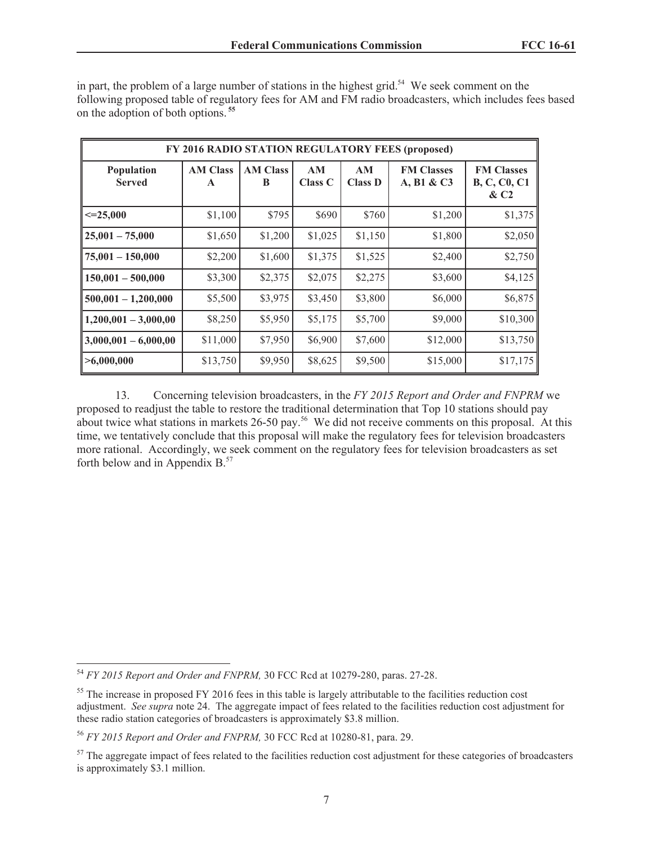| Population<br><b>Served</b> | <b>AM Class</b><br>$\mathbf{A}$ | <b>AM Class</b><br>B | AM<br><b>Class C</b> | AM<br><b>Class D</b> | <b>FM Classes</b><br>A, B1 & C3 | <b>FM Classes</b><br><b>B, C, C0, C1</b><br>$\&C2$ |
|-----------------------------|---------------------------------|----------------------|----------------------|----------------------|---------------------------------|----------------------------------------------------|
| $\leq=25,000$               | \$1,100                         | \$795                | \$690                | \$760                | \$1,200                         | \$1,375                                            |
| $25,001 - 75,000$           | \$1,650                         | \$1,200              | \$1,025              | \$1,150              | \$1,800                         | \$2,050                                            |
| $75,001 - 150,000$          | \$2,200                         | \$1,600              | \$1,375              | \$1,525              | \$2,400                         | \$2,750                                            |
| $150,001 - 500,000$         | \$3,300                         | \$2,375              | \$2,075              | \$2,275              | \$3,600                         | \$4,125                                            |
| $500,001 - 1,200,000$       | \$5,500                         | \$3,975              | \$3,450              | \$3,800              | \$6,000                         | \$6,875                                            |
| $1,200,001 - 3,000,00$      | \$8,250                         | \$5,950              | \$5,175              | \$5,700              | \$9,000                         | \$10,300                                           |
| $3,000,001 - 6,000,00$      | \$11,000                        | \$7,950              | \$6,900              | \$7,600              | \$12,000                        | \$13,750                                           |
| >6,000,000                  | \$13,750                        | \$9,950              | \$8,625              | \$9,500              | \$15,000                        | \$17,175                                           |

in part, the problem of a large number of stations in the highest grid.<sup>54</sup> We seek comment on the following proposed table of regulatory fees for AM and FM radio broadcasters, which includes fees based on the adoption of both options. **<sup>55</sup>**

13. Concerning television broadcasters, in the *FY 2015 Report and Order and FNPRM* we proposed to readjust the table to restore the traditional determination that Top 10 stations should pay about twice what stations in markets 26-50 pay.<sup>56</sup> We did not receive comments on this proposal. At this time, we tentatively conclude that this proposal will make the regulatory fees for television broadcasters more rational. Accordingly, we seek comment on the regulatory fees for television broadcasters as set forth below and in Appendix B.<sup>57</sup>

<sup>54</sup> *FY 2015 Report and Order and FNPRM,* 30 FCC Rcd at 10279-280, paras. 27-28.

<sup>&</sup>lt;sup>55</sup> The increase in proposed FY 2016 fees in this table is largely attributable to the facilities reduction cost adjustment. *See supra* note 24. The aggregate impact of fees related to the facilities reduction cost adjustment for these radio station categories of broadcasters is approximately \$3.8 million.

<sup>56</sup> *FY 2015 Report and Order and FNPRM,* 30 FCC Rcd at 10280-81, para. 29.

 $57$  The aggregate impact of fees related to the facilities reduction cost adjustment for these categories of broadcasters is approximately \$3.1 million.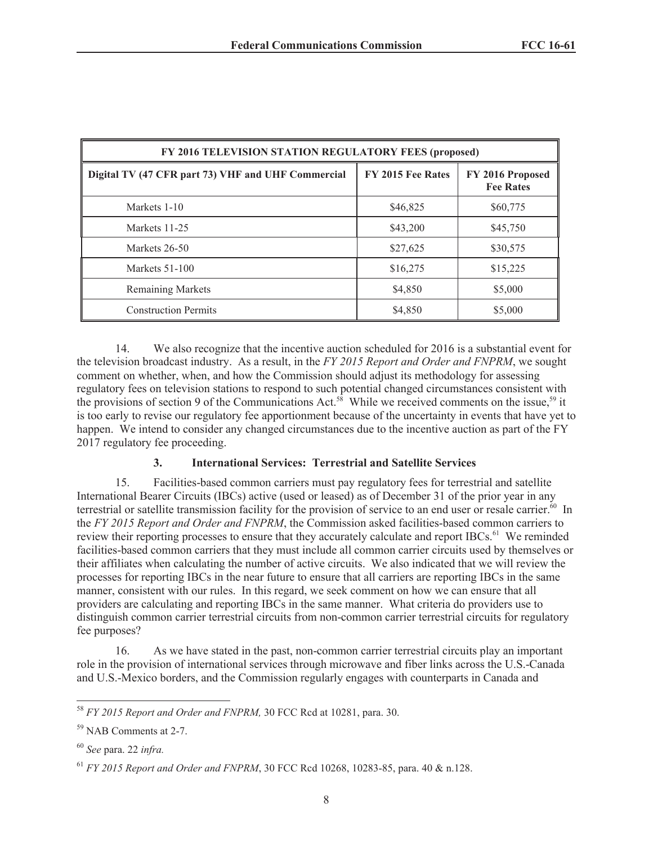| FY 2016 TELEVISION STATION REGULATORY FEES (proposed) |                   |                                      |  |  |  |  |
|-------------------------------------------------------|-------------------|--------------------------------------|--|--|--|--|
| Digital TV (47 CFR part 73) VHF and UHF Commercial    | FY 2015 Fee Rates | FY 2016 Proposed<br><b>Fee Rates</b> |  |  |  |  |
| Markets 1-10                                          | \$46,825          | \$60,775                             |  |  |  |  |
| Markets 11-25                                         | \$43,200          | \$45,750                             |  |  |  |  |
| Markets 26-50                                         | \$27,625          | \$30,575                             |  |  |  |  |
| Markets 51-100                                        | \$16,275          | \$15,225                             |  |  |  |  |
| <b>Remaining Markets</b>                              | \$4,850           | \$5,000                              |  |  |  |  |
| <b>Construction Permits</b>                           | \$4,850           | \$5,000                              |  |  |  |  |

14. We also recognize that the incentive auction scheduled for 2016 is a substantial event for the television broadcast industry. As a result, in the *FY 2015 Report and Order and FNPRM*, we sought comment on whether, when, and how the Commission should adjust its methodology for assessing regulatory fees on television stations to respond to such potential changed circumstances consistent with the provisions of section 9 of the Communications Act.<sup>58</sup> While we received comments on the issue,<sup>59</sup> it is too early to revise our regulatory fee apportionment because of the uncertainty in events that have yet to happen. We intend to consider any changed circumstances due to the incentive auction as part of the FY 2017 regulatory fee proceeding.

# **3. International Services: Terrestrial and Satellite Services**

15. Facilities-based common carriers must pay regulatory fees for terrestrial and satellite International Bearer Circuits (IBCs) active (used or leased) as of December 31 of the prior year in any terrestrial or satellite transmission facility for the provision of service to an end user or resale carrier.<sup>60</sup> In the *FY 2015 Report and Order and FNPRM*, the Commission asked facilities-based common carriers to review their reporting processes to ensure that they accurately calculate and report IBCs.<sup>61</sup> We reminded facilities-based common carriers that they must include all common carrier circuits used by themselves or their affiliates when calculating the number of active circuits. We also indicated that we will review the processes for reporting IBCs in the near future to ensure that all carriers are reporting IBCs in the same manner, consistent with our rules. In this regard, we seek comment on how we can ensure that all providers are calculating and reporting IBCs in the same manner. What criteria do providers use to distinguish common carrier terrestrial circuits from non-common carrier terrestrial circuits for regulatory fee purposes?

16. As we have stated in the past, non-common carrier terrestrial circuits play an important role in the provision of international services through microwave and fiber links across the U.S.-Canada and U.S.-Mexico borders, and the Commission regularly engages with counterparts in Canada and

<sup>58</sup> *FY 2015 Report and Order and FNPRM,* 30 FCC Rcd at 10281, para. 30.

<sup>59</sup> NAB Comments at 2-7.

<sup>60</sup> *See* para. 22 *infra.*

<sup>61</sup> *FY 2015 Report and Order and FNPRM*, 30 FCC Rcd 10268, 10283-85, para. 40 & n.128.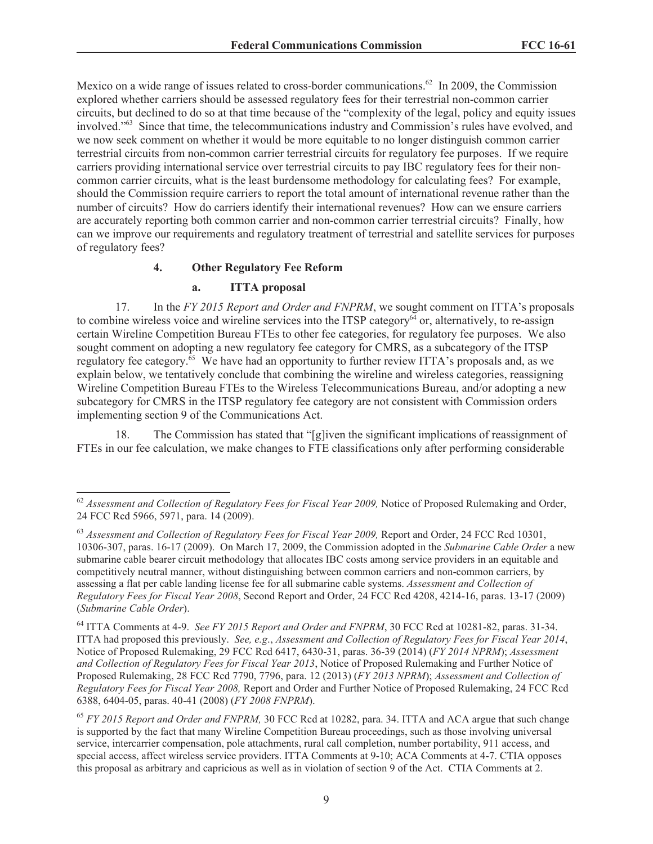Mexico on a wide range of issues related to cross-border communications.<sup>62</sup> In 2009, the Commission explored whether carriers should be assessed regulatory fees for their terrestrial non-common carrier circuits, but declined to do so at that time because of the "complexity of the legal, policy and equity issues involved."<sup>63</sup> Since that time, the telecommunications industry and Commission's rules have evolved, and we now seek comment on whether it would be more equitable to no longer distinguish common carrier terrestrial circuits from non-common carrier terrestrial circuits for regulatory fee purposes. If we require carriers providing international service over terrestrial circuits to pay IBC regulatory fees for their noncommon carrier circuits, what is the least burdensome methodology for calculating fees? For example, should the Commission require carriers to report the total amount of international revenue rather than the number of circuits? How do carriers identify their international revenues? How can we ensure carriers are accurately reporting both common carrier and non-common carrier terrestrial circuits? Finally, how can we improve our requirements and regulatory treatment of terrestrial and satellite services for purposes of regulatory fees?

#### **4. Other Regulatory Fee Reform**

#### **a. ITTA proposal**

17. In the *FY 2015 Report and Order and FNPRM*, we sought comment on ITTA's proposals to combine wireless voice and wireline services into the ITSP category $\delta^4$  or, alternatively, to re-assign certain Wireline Competition Bureau FTEs to other fee categories, for regulatory fee purposes. We also sought comment on adopting a new regulatory fee category for CMRS, as a subcategory of the ITSP regulatory fee category.<sup>65</sup> We have had an opportunity to further review ITTA's proposals and, as we explain below, we tentatively conclude that combining the wireline and wireless categories, reassigning Wireline Competition Bureau FTEs to the Wireless Telecommunications Bureau, and/or adopting a new subcategory for CMRS in the ITSP regulatory fee category are not consistent with Commission orders implementing section 9 of the Communications Act.

18. The Commission has stated that "[g]iven the significant implications of reassignment of FTEs in our fee calculation, we make changes to FTE classifications only after performing considerable

<sup>&</sup>lt;sup>62</sup> Assessment and Collection of Regulatory Fees for Fiscal Year 2009, Notice of Proposed Rulemaking and Order, 24 FCC Rcd 5966, 5971, para. 14 (2009).

<sup>&</sup>lt;sup>63</sup> Assessment and Collection of Regulatory Fees for Fiscal Year 2009, Report and Order, 24 FCC Rcd 10301, 10306-307, paras. 16-17 (2009). On March 17, 2009, the Commission adopted in the *Submarine Cable Order* a new submarine cable bearer circuit methodology that allocates IBC costs among service providers in an equitable and competitively neutral manner, without distinguishing between common carriers and non-common carriers, by assessing a flat per cable landing license fee for all submarine cable systems. *Assessment and Collection of Regulatory Fees for Fiscal Year 2008*, Second Report and Order, 24 FCC Rcd 4208, 4214-16, paras. 13-17 (2009) (*Submarine Cable Order*).

<sup>64</sup> ITTA Comments at 4-9. *See FY 2015 Report and Order and FNPRM*, 30 FCC Rcd at 10281-82, paras. 31-34. ITTA had proposed this previously. *See, e.g*., *Assessment and Collection of Regulatory Fees for Fiscal Year 2014*, Notice of Proposed Rulemaking, 29 FCC Rcd 6417, 6430-31, paras. 36-39 (2014) (*FY 2014 NPRM*); *Assessment and Collection of Regulatory Fees for Fiscal Year 2013*, Notice of Proposed Rulemaking and Further Notice of Proposed Rulemaking, 28 FCC Rcd 7790, 7796, para. 12 (2013) (*FY 2013 NPRM*); *Assessment and Collection of Regulatory Fees for Fiscal Year 2008,* Report and Order and Further Notice of Proposed Rulemaking, 24 FCC Rcd 6388, 6404-05, paras. 40-41 (2008) (*FY 2008 FNPRM*).

<sup>65</sup> *FY 2015 Report and Order and FNPRM,* 30 FCC Rcd at 10282, para. 34. ITTA and ACA argue that such change is supported by the fact that many Wireline Competition Bureau proceedings, such as those involving universal service, intercarrier compensation, pole attachments, rural call completion, number portability, 911 access, and special access, affect wireless service providers. ITTA Comments at 9-10; ACA Comments at 4-7. CTIA opposes this proposal as arbitrary and capricious as well as in violation of section 9 of the Act. CTIA Comments at 2.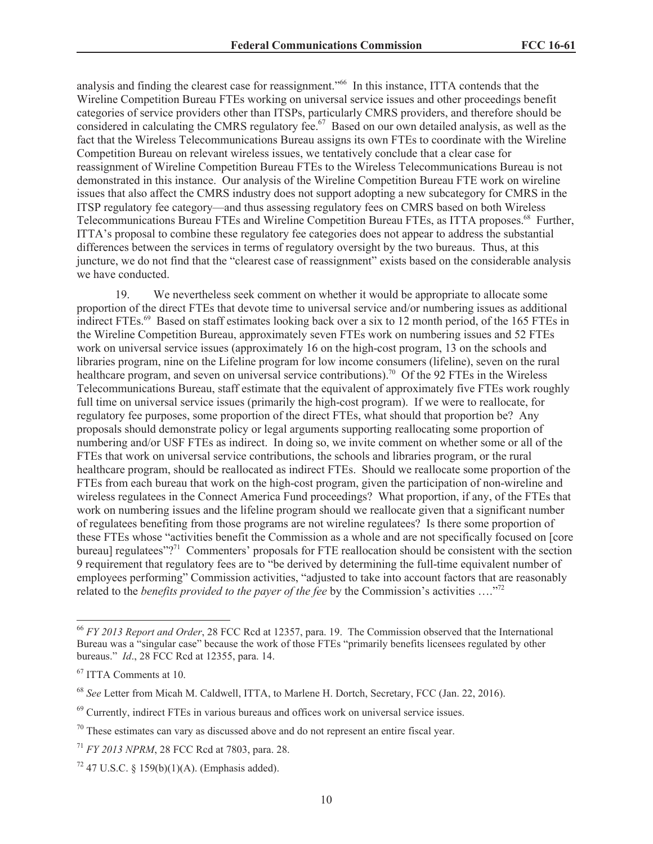analysis and finding the clearest case for reassignment."<sup>66</sup> In this instance, ITTA contends that the Wireline Competition Bureau FTEs working on universal service issues and other proceedings benefit categories of service providers other than ITSPs, particularly CMRS providers, and therefore should be considered in calculating the CMRS regulatory fee.<sup>67</sup> Based on our own detailed analysis, as well as the fact that the Wireless Telecommunications Bureau assigns its own FTEs to coordinate with the Wireline Competition Bureau on relevant wireless issues, we tentatively conclude that a clear case for reassignment of Wireline Competition Bureau FTEs to the Wireless Telecommunications Bureau is not demonstrated in this instance. Our analysis of the Wireline Competition Bureau FTE work on wireline issues that also affect the CMRS industry does not support adopting a new subcategory for CMRS in the ITSP regulatory fee category—and thus assessing regulatory fees on CMRS based on both Wireless Telecommunications Bureau FTEs and Wireline Competition Bureau FTEs, as ITTA proposes.<sup>68</sup> Further, ITTA's proposal to combine these regulatory fee categories does not appear to address the substantial differences between the services in terms of regulatory oversight by the two bureaus. Thus, at this juncture, we do not find that the "clearest case of reassignment" exists based on the considerable analysis we have conducted.

19. We nevertheless seek comment on whether it would be appropriate to allocate some proportion of the direct FTEs that devote time to universal service and/or numbering issues as additional indirect FTEs.<sup>69</sup> Based on staff estimates looking back over a six to 12 month period, of the 165 FTEs in the Wireline Competition Bureau, approximately seven FTEs work on numbering issues and 52 FTEs work on universal service issues (approximately 16 on the high-cost program, 13 on the schools and libraries program, nine on the Lifeline program for low income consumers (lifeline), seven on the rural healthcare program, and seven on universal service contributions).<sup>70</sup> Of the 92 FTEs in the Wireless Telecommunications Bureau, staff estimate that the equivalent of approximately five FTEs work roughly full time on universal service issues (primarily the high-cost program). If we were to reallocate, for regulatory fee purposes, some proportion of the direct FTEs, what should that proportion be? Any proposals should demonstrate policy or legal arguments supporting reallocating some proportion of numbering and/or USF FTEs as indirect. In doing so, we invite comment on whether some or all of the FTEs that work on universal service contributions, the schools and libraries program, or the rural healthcare program, should be reallocated as indirect FTEs. Should we reallocate some proportion of the FTEs from each bureau that work on the high-cost program, given the participation of non-wireline and wireless regulatees in the Connect America Fund proceedings? What proportion, if any, of the FTEs that work on numbering issues and the lifeline program should we reallocate given that a significant number of regulatees benefiting from those programs are not wireline regulatees? Is there some proportion of these FTEs whose "activities benefit the Commission as a whole and are not specifically focused on [core bureau] regulatees"?<sup>71</sup> Commenters' proposals for FTE reallocation should be consistent with the section 9 requirement that regulatory fees are to "be derived by determining the full-time equivalent number of employees performing" Commission activities, "adjusted to take into account factors that are reasonably related to the *benefits provided to the payer of the fee* by the Commission's activities …."<sup>72</sup>

<sup>66</sup> *FY 2013 Report and Order*, 28 FCC Rcd at 12357, para. 19. The Commission observed that the International Bureau was a "singular case" because the work of those FTEs "primarily benefits licensees regulated by other bureaus." *Id*., 28 FCC Rcd at 12355, para. 14.

<sup>67</sup> ITTA Comments at 10.

<sup>68</sup> *See* Letter from Micah M. Caldwell, ITTA, to Marlene H. Dortch, Secretary, FCC (Jan. 22, 2016).

 $69$  Currently, indirect FTEs in various bureaus and offices work on universal service issues.

 $70$  These estimates can vary as discussed above and do not represent an entire fiscal year.

<sup>71</sup> *FY 2013 NPRM*, 28 FCC Rcd at 7803, para. 28.

 $72$  47 U.S.C. § 159(b)(1)(A). (Emphasis added).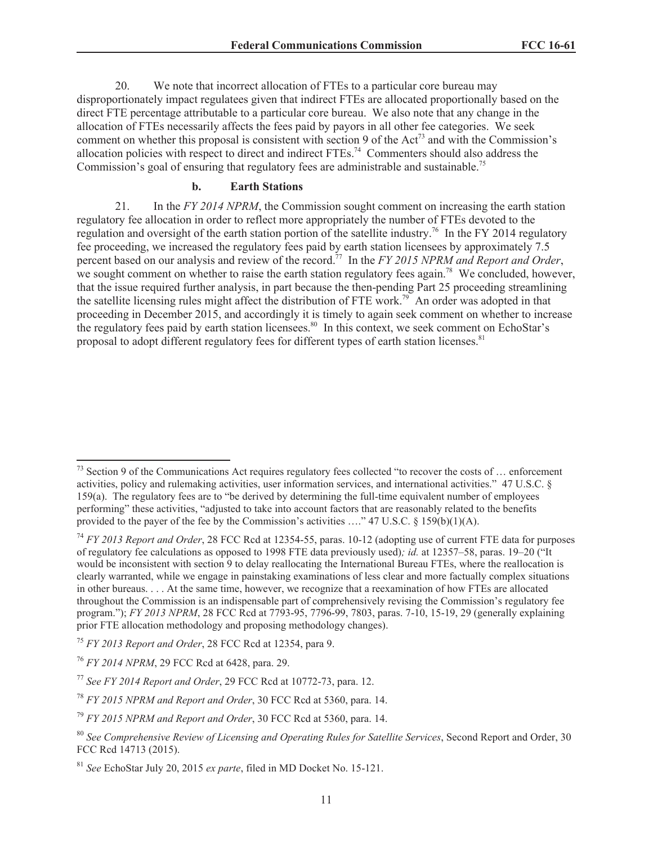20. We note that incorrect allocation of FTEs to a particular core bureau may disproportionately impact regulatees given that indirect FTEs are allocated proportionally based on the direct FTE percentage attributable to a particular core bureau. We also note that any change in the allocation of FTEs necessarily affects the fees paid by payors in all other fee categories. We seek comment on whether this proposal is consistent with section 9 of the Act<sup>73</sup> and with the Commission's allocation policies with respect to direct and indirect FTEs.<sup>74</sup> Commenters should also address the Commission's goal of ensuring that regulatory fees are administrable and sustainable.<sup>75</sup>

#### **b. Earth Stations**

21. In the *FY 2014 NPRM*, the Commission sought comment on increasing the earth station regulatory fee allocation in order to reflect more appropriately the number of FTEs devoted to the regulation and oversight of the earth station portion of the satellite industry.<sup>76</sup> In the FY 2014 regulatory fee proceeding, we increased the regulatory fees paid by earth station licensees by approximately 7.5 percent based on our analysis and review of the record.<sup>77</sup> In the *FY 2015 NPRM and Report and Order*, we sought comment on whether to raise the earth station regulatory fees again.<sup>78</sup> We concluded, however, that the issue required further analysis, in part because the then-pending Part 25 proceeding streamlining the satellite licensing rules might affect the distribution of FTE work.<sup>79</sup> An order was adopted in that proceeding in December 2015, and accordingly it is timely to again seek comment on whether to increase the regulatory fees paid by earth station licensees.<sup>80</sup> In this context, we seek comment on EchoStar's proposal to adopt different regulatory fees for different types of earth station licenses.<sup>81</sup>

 $^{73}$  Section 9 of the Communications Act requires regulatory fees collected "to recover the costs of ... enforcement activities, policy and rulemaking activities, user information services, and international activities." 47 U.S.C. § 159(a). The regulatory fees are to "be derived by determining the full-time equivalent number of employees performing" these activities, "adjusted to take into account factors that are reasonably related to the benefits provided to the payer of the fee by the Commission's activities ...." 47 U.S.C.  $\S$  159(b)(1)(A).

<sup>74</sup> *FY 2013 Report and Order*, 28 FCC Rcd at 12354-55, paras. 10-12 (adopting use of current FTE data for purposes of regulatory fee calculations as opposed to 1998 FTE data previously used)*; id.* at 12357–58, paras. 19–20 ("It would be inconsistent with section 9 to delay reallocating the International Bureau FTEs, where the reallocation is clearly warranted, while we engage in painstaking examinations of less clear and more factually complex situations in other bureaus. . . . At the same time, however, we recognize that a reexamination of how FTEs are allocated throughout the Commission is an indispensable part of comprehensively revising the Commission's regulatory fee program."); *FY 2013 NPRM*, 28 FCC Rcd at 7793-95, 7796-99, 7803, paras. 7-10, 15-19, 29 (generally explaining prior FTE allocation methodology and proposing methodology changes).

<sup>75</sup> *FY 2013 Report and Order*, 28 FCC Rcd at 12354, para 9.

<sup>76</sup> *FY 2014 NPRM*, 29 FCC Rcd at 6428, para. 29.

<sup>77</sup> *See FY 2014 Report and Order*, 29 FCC Rcd at 10772-73, para. 12.

<sup>78</sup> *FY 2015 NPRM and Report and Order*, 30 FCC Rcd at 5360, para. 14.

<sup>79</sup> *FY 2015 NPRM and Report and Order*, 30 FCC Rcd at 5360, para. 14.

<sup>80</sup> *See Comprehensive Review of Licensing and Operating Rules for Satellite Services*, Second Report and Order, 30 FCC Rcd 14713 (2015).

<sup>81</sup> *See* EchoStar July 20, 2015 *ex parte*, filed in MD Docket No. 15-121.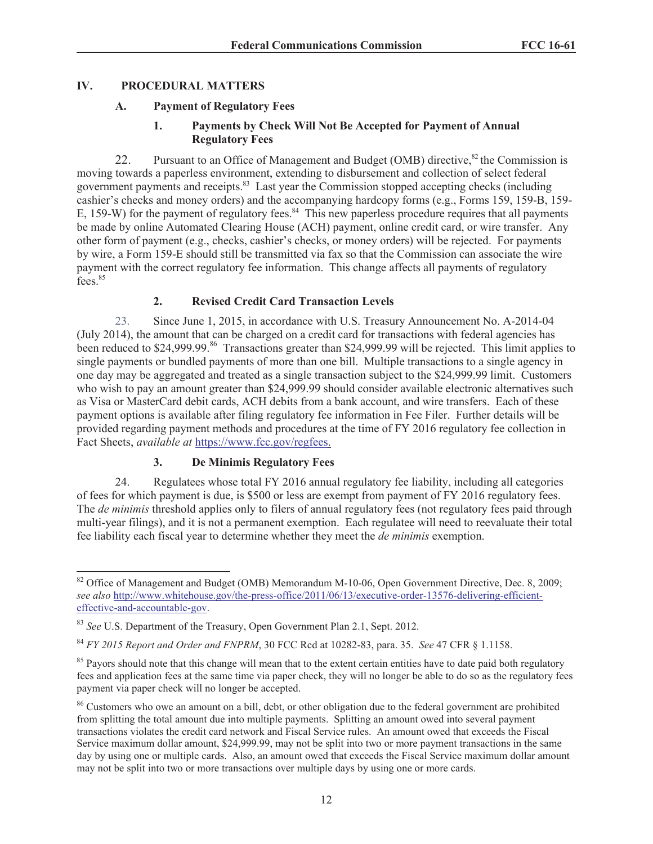# **IV. PROCEDURAL MATTERS**

## **A. Payment of Regulatory Fees**

## **1. Payments by Check Will Not Be Accepted for Payment of Annual Regulatory Fees**

22. Pursuant to an Office of Management and Budget (OMB) directive,  $82$  the Commission is moving towards a paperless environment, extending to disbursement and collection of select federal government payments and receipts.<sup>83</sup> Last year the Commission stopped accepting checks (including cashier's checks and money orders) and the accompanying hardcopy forms (e.g., Forms 159, 159-B, 159- E, 159-W) for the payment of regulatory fees.<sup>84</sup> This new paperless procedure requires that all payments be made by online Automated Clearing House (ACH) payment, online credit card, or wire transfer. Any other form of payment (e.g., checks, cashier's checks, or money orders) will be rejected. For payments by wire, a Form 159-E should still be transmitted via fax so that the Commission can associate the wire payment with the correct regulatory fee information. This change affects all payments of regulatory fees.<sup>85</sup>

## **2. Revised Credit Card Transaction Levels**

23. Since June 1, 2015, in accordance with U.S. Treasury Announcement No. A-2014-04 (July 2014), the amount that can be charged on a credit card for transactions with federal agencies has been reduced to \$24,999.99.<sup>86</sup> Transactions greater than \$24,999.99 will be rejected. This limit applies to single payments or bundled payments of more than one bill. Multiple transactions to a single agency in one day may be aggregated and treated as a single transaction subject to the \$24,999.99 limit. Customers who wish to pay an amount greater than \$24,999.99 should consider available electronic alternatives such as Visa or MasterCard debit cards, ACH debits from a bank account, and wire transfers. Each of these payment options is available after filing regulatory fee information in Fee Filer. Further details will be provided regarding payment methods and procedures at the time of FY 2016 regulatory fee collection in Fact Sheets, *available at* https://www.fcc.gov/regfees.

# **3. De Minimis Regulatory Fees**

24. Regulatees whose total FY 2016 annual regulatory fee liability, including all categories of fees for which payment is due, is \$500 or less are exempt from payment of FY 2016 regulatory fees. The *de minimis* threshold applies only to filers of annual regulatory fees (not regulatory fees paid through multi-year filings), and it is not a permanent exemption. Each regulatee will need to reevaluate their total fee liability each fiscal year to determine whether they meet the *de minimis* exemption.

<sup>&</sup>lt;sup>82</sup> Office of Management and Budget (OMB) Memorandum M-10-06, Open Government Directive, Dec. 8, 2009; *see also* http://www.whitehouse.gov/the-press-office/2011/06/13/executive-order-13576-delivering-efficienteffective-and-accountable-gov.

<sup>83</sup> *See* U.S. Department of the Treasury, Open Government Plan 2.1, Sept. 2012.

<sup>84</sup> *FY 2015 Report and Order and FNPRM*, 30 FCC Rcd at 10282-83, para. 35. *See* 47 CFR § 1.1158.

<sup>&</sup>lt;sup>85</sup> Payors should note that this change will mean that to the extent certain entities have to date paid both regulatory fees and application fees at the same time via paper check, they will no longer be able to do so as the regulatory fees payment via paper check will no longer be accepted.

<sup>&</sup>lt;sup>86</sup> Customers who owe an amount on a bill, debt, or other obligation due to the federal government are prohibited from splitting the total amount due into multiple payments. Splitting an amount owed into several payment transactions violates the credit card network and Fiscal Service rules. An amount owed that exceeds the Fiscal Service maximum dollar amount, \$24,999.99, may not be split into two or more payment transactions in the same day by using one or multiple cards. Also, an amount owed that exceeds the Fiscal Service maximum dollar amount may not be split into two or more transactions over multiple days by using one or more cards.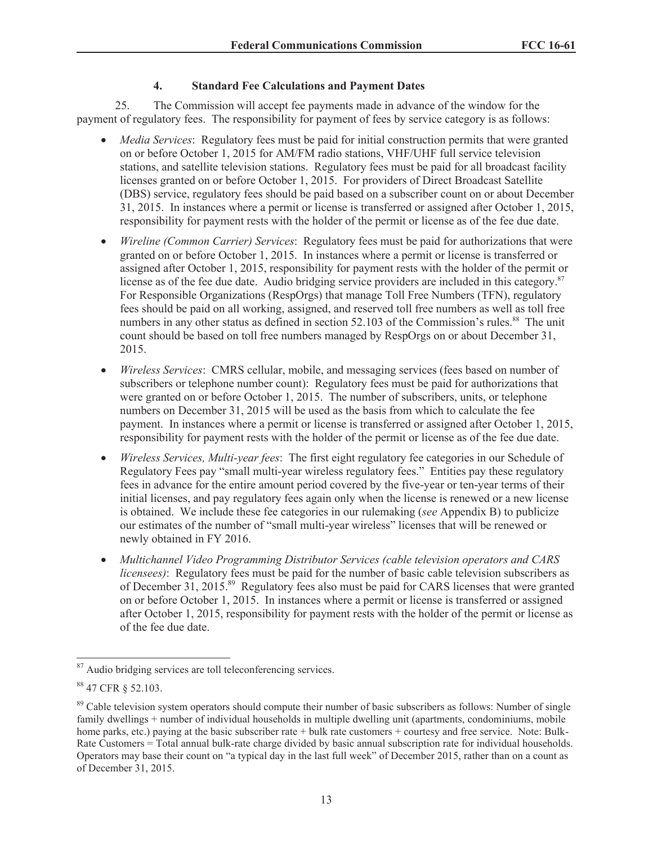# **4. Standard Fee Calculations and Payment Dates**

25. The Commission will accept fee payments made in advance of the window for the payment of regulatory fees. The responsibility for payment of fees by service category is as follows:

- · *Media Services*: Regulatory fees must be paid for initial construction permits that were granted on or before October 1, 2015 for AM/FM radio stations, VHF/UHF full service television stations, and satellite television stations. Regulatory fees must be paid for all broadcast facility licenses granted on or before October 1, 2015. For providers of Direct Broadcast Satellite (DBS) service, regulatory fees should be paid based on a subscriber count on or about December 31, 2015. In instances where a permit or license is transferred or assigned after October 1, 2015, responsibility for payment rests with the holder of the permit or license as of the fee due date.
- · *Wireline (Common Carrier) Services*: Regulatory fees must be paid for authorizations that were granted on or before October 1, 2015. In instances where a permit or license is transferred or assigned after October 1, 2015, responsibility for payment rests with the holder of the permit or license as of the fee due date. Audio bridging service providers are included in this category.<sup>87</sup> For Responsible Organizations (RespOrgs) that manage Toll Free Numbers (TFN), regulatory fees should be paid on all working, assigned, and reserved toll free numbers as well as toll free numbers in any other status as defined in section 52.103 of the Commission's rules.<sup>88</sup> The unit count should be based on toll free numbers managed by RespOrgs on or about December 31, 2015.
- · *Wireless Services*: CMRS cellular, mobile, and messaging services (fees based on number of subscribers or telephone number count): Regulatory fees must be paid for authorizations that were granted on or before October 1, 2015. The number of subscribers, units, or telephone numbers on December 31, 2015 will be used as the basis from which to calculate the fee payment. In instances where a permit or license is transferred or assigned after October 1, 2015, responsibility for payment rests with the holder of the permit or license as of the fee due date.
- · *Wireless Services, Multi-year fees*: The first eight regulatory fee categories in our Schedule of Regulatory Fees pay "small multi-year wireless regulatory fees." Entities pay these regulatory fees in advance for the entire amount period covered by the five-year or ten-year terms of their initial licenses, and pay regulatory fees again only when the license is renewed or a new license is obtained. We include these fee categories in our rulemaking (*see* Appendix B) to publicize our estimates of the number of "small multi-year wireless" licenses that will be renewed or newly obtained in FY 2016.
- · *Multichannel Video Programming Distributor Services (cable television operators and CARS licensees)*: Regulatory fees must be paid for the number of basic cable television subscribers as of December 31, 2015.<sup>89</sup> Regulatory fees also must be paid for CARS licenses that were granted on or before October 1, 2015. In instances where a permit or license is transferred or assigned after October 1, 2015, responsibility for payment rests with the holder of the permit or license as of the fee due date.

<sup>&</sup>lt;sup>87</sup> Audio bridging services are toll teleconferencing services.

<sup>88</sup> 47 CFR § 52.103.

<sup>&</sup>lt;sup>89</sup> Cable television system operators should compute their number of basic subscribers as follows: Number of single family dwellings + number of individual households in multiple dwelling unit (apartments, condominiums, mobile home parks, etc.) paying at the basic subscriber rate + bulk rate customers + courtesy and free service. Note: Bulk-Rate Customers = Total annual bulk-rate charge divided by basic annual subscription rate for individual households. Operators may base their count on "a typical day in the last full week" of December 2015, rather than on a count as of December 31, 2015.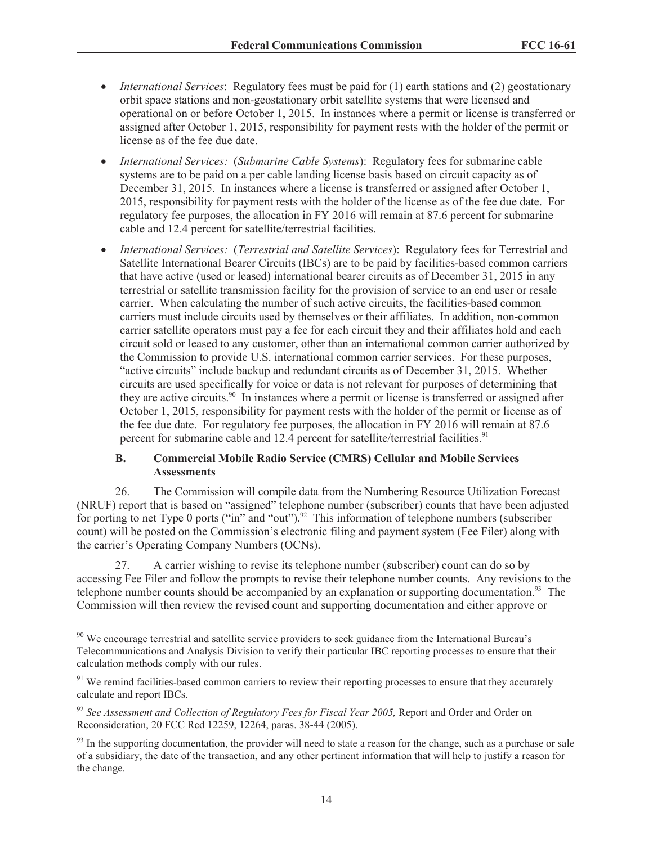- · *International Services*: Regulatory fees must be paid for (1) earth stations and (2) geostationary orbit space stations and non-geostationary orbit satellite systems that were licensed and operational on or before October 1, 2015. In instances where a permit or license is transferred or assigned after October 1, 2015, responsibility for payment rests with the holder of the permit or license as of the fee due date.
- · *International Services:* (*Submarine Cable Systems*): Regulatory fees for submarine cable systems are to be paid on a per cable landing license basis based on circuit capacity as of December 31, 2015. In instances where a license is transferred or assigned after October 1, 2015, responsibility for payment rests with the holder of the license as of the fee due date. For regulatory fee purposes, the allocation in FY 2016 will remain at 87.6 percent for submarine cable and 12.4 percent for satellite/terrestrial facilities.
- · *International Services:* (*Terrestrial and Satellite Services*): Regulatory fees for Terrestrial and Satellite International Bearer Circuits (IBCs) are to be paid by facilities-based common carriers that have active (used or leased) international bearer circuits as of December 31, 2015 in any terrestrial or satellite transmission facility for the provision of service to an end user or resale carrier. When calculating the number of such active circuits, the facilities-based common carriers must include circuits used by themselves or their affiliates. In addition, non-common carrier satellite operators must pay a fee for each circuit they and their affiliates hold and each circuit sold or leased to any customer, other than an international common carrier authorized by the Commission to provide U.S. international common carrier services. For these purposes, "active circuits" include backup and redundant circuits as of December 31, 2015. Whether circuits are used specifically for voice or data is not relevant for purposes of determining that they are active circuits.<sup>90</sup> In instances where a permit or license is transferred or assigned after October 1, 2015, responsibility for payment rests with the holder of the permit or license as of the fee due date. For regulatory fee purposes, the allocation in FY 2016 will remain at 87.6 percent for submarine cable and 12.4 percent for satellite/terrestrial facilities.<sup>91</sup>

#### **B. Commercial Mobile Radio Service (CMRS) Cellular and Mobile Services Assessments**

26. The Commission will compile data from the Numbering Resource Utilization Forecast (NRUF) report that is based on "assigned" telephone number (subscriber) counts that have been adjusted for porting to net Type 0 ports ("in" and "out").<sup>92</sup> This information of telephone numbers (subscriber count) will be posted on the Commission's electronic filing and payment system (Fee Filer) along with the carrier's Operating Company Numbers (OCNs).

27. A carrier wishing to revise its telephone number (subscriber) count can do so by accessing Fee Filer and follow the prompts to revise their telephone number counts. Any revisions to the telephone number counts should be accompanied by an explanation or supporting documentation.<sup>93</sup> The Commission will then review the revised count and supporting documentation and either approve or

<sup>&</sup>lt;sup>90</sup> We encourage terrestrial and satellite service providers to seek guidance from the International Bureau's Telecommunications and Analysis Division to verify their particular IBC reporting processes to ensure that their calculation methods comply with our rules.

 $91$  We remind facilities-based common carriers to review their reporting processes to ensure that they accurately calculate and report IBCs.

<sup>92</sup> *See Assessment and Collection of Regulatory Fees for Fiscal Year 2005,* Report and Order and Order on Reconsideration, 20 FCC Rcd 12259, 12264, paras. 38-44 (2005).

 $93$  In the supporting documentation, the provider will need to state a reason for the change, such as a purchase or sale of a subsidiary, the date of the transaction, and any other pertinent information that will help to justify a reason for the change.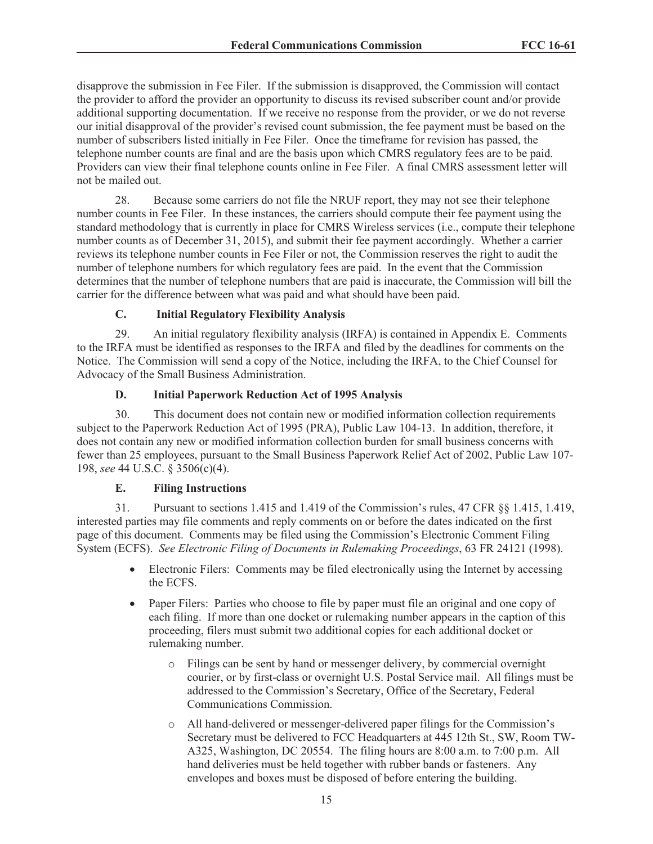disapprove the submission in Fee Filer. If the submission is disapproved, the Commission will contact the provider to afford the provider an opportunity to discuss its revised subscriber count and/or provide additional supporting documentation. If we receive no response from the provider, or we do not reverse our initial disapproval of the provider's revised count submission, the fee payment must be based on the number of subscribers listed initially in Fee Filer. Once the timeframe for revision has passed, the telephone number counts are final and are the basis upon which CMRS regulatory fees are to be paid. Providers can view their final telephone counts online in Fee Filer. A final CMRS assessment letter will not be mailed out.

28. Because some carriers do not file the NRUF report, they may not see their telephone number counts in Fee Filer. In these instances, the carriers should compute their fee payment using the standard methodology that is currently in place for CMRS Wireless services (i.e., compute their telephone number counts as of December 31, 2015), and submit their fee payment accordingly. Whether a carrier reviews its telephone number counts in Fee Filer or not, the Commission reserves the right to audit the number of telephone numbers for which regulatory fees are paid. In the event that the Commission determines that the number of telephone numbers that are paid is inaccurate, the Commission will bill the carrier for the difference between what was paid and what should have been paid.

## **C. Initial Regulatory Flexibility Analysis**

29. An initial regulatory flexibility analysis (IRFA) is contained in Appendix E. Comments to the IRFA must be identified as responses to the IRFA and filed by the deadlines for comments on the Notice. The Commission will send a copy of the Notice, including the IRFA, to the Chief Counsel for Advocacy of the Small Business Administration.

## **D. Initial Paperwork Reduction Act of 1995 Analysis**

30. This document does not contain new or modified information collection requirements subject to the Paperwork Reduction Act of 1995 (PRA), Public Law 104-13. In addition, therefore, it does not contain any new or modified information collection burden for small business concerns with fewer than 25 employees, pursuant to the Small Business Paperwork Relief Act of 2002, Public Law 107- 198, *see* 44 U.S.C. § 3506(c)(4).

#### **E. Filing Instructions**

31. Pursuant to sections 1.415 and 1.419 of the Commission's rules, 47 CFR §§ 1.415, 1.419, interested parties may file comments and reply comments on or before the dates indicated on the first page of this document. Comments may be filed using the Commission's Electronic Comment Filing System (ECFS). *See Electronic Filing of Documents in Rulemaking Proceedings*, 63 FR 24121 (1998).

- Electronic Filers: Comments may be filed electronically using the Internet by accessing the ECFS.
- · Paper Filers: Parties who choose to file by paper must file an original and one copy of each filing. If more than one docket or rulemaking number appears in the caption of this proceeding, filers must submit two additional copies for each additional docket or rulemaking number.
	- o Filings can be sent by hand or messenger delivery, by commercial overnight courier, or by first-class or overnight U.S. Postal Service mail. All filings must be addressed to the Commission's Secretary, Office of the Secretary, Federal Communications Commission.
	- o All hand-delivered or messenger-delivered paper filings for the Commission's Secretary must be delivered to FCC Headquarters at 445 12th St., SW, Room TW-A325, Washington, DC 20554. The filing hours are 8:00 a.m. to 7:00 p.m. All hand deliveries must be held together with rubber bands or fasteners. Any envelopes and boxes must be disposed of before entering the building.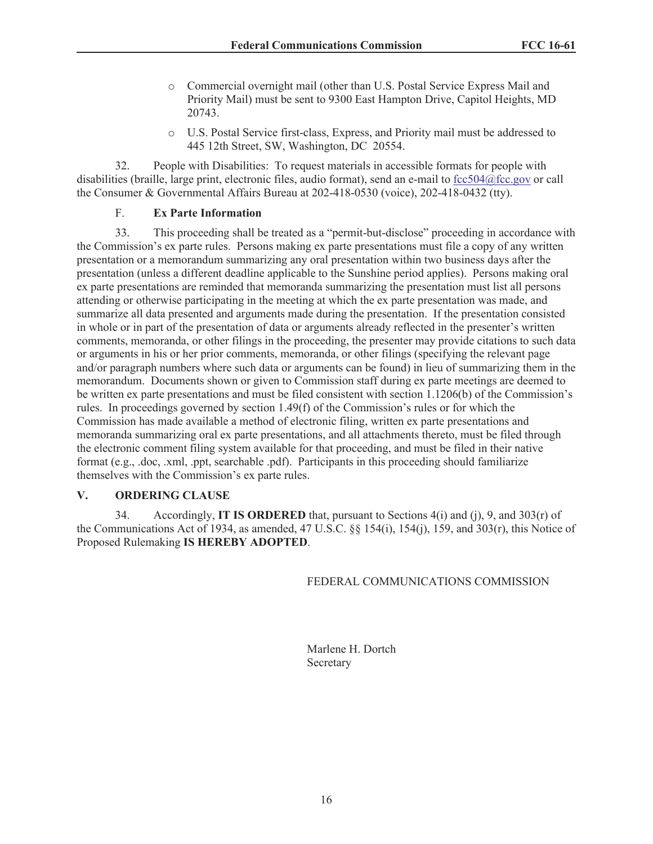- o Commercial overnight mail (other than U.S. Postal Service Express Mail and Priority Mail) must be sent to 9300 East Hampton Drive, Capitol Heights, MD 20743.
- o U.S. Postal Service first-class, Express, and Priority mail must be addressed to 445 12th Street, SW, Washington, DC 20554.

32. People with Disabilities: To request materials in accessible formats for people with disabilities (braille, large print, electronic files, audio format), send an e-mail to fcc504@fcc.gov or call the Consumer & Governmental Affairs Bureau at 202-418-0530 (voice), 202-418-0432 (tty).

### F. **Ex Parte Information**

33. This proceeding shall be treated as a "permit-but-disclose" proceeding in accordance with the Commission's ex parte rules. Persons making ex parte presentations must file a copy of any written presentation or a memorandum summarizing any oral presentation within two business days after the presentation (unless a different deadline applicable to the Sunshine period applies). Persons making oral ex parte presentations are reminded that memoranda summarizing the presentation must list all persons attending or otherwise participating in the meeting at which the ex parte presentation was made, and summarize all data presented and arguments made during the presentation. If the presentation consisted in whole or in part of the presentation of data or arguments already reflected in the presenter's written comments, memoranda, or other filings in the proceeding, the presenter may provide citations to such data or arguments in his or her prior comments, memoranda, or other filings (specifying the relevant page and/or paragraph numbers where such data or arguments can be found) in lieu of summarizing them in the memorandum. Documents shown or given to Commission staff during ex parte meetings are deemed to be written ex parte presentations and must be filed consistent with section 1.1206(b) of the Commission's rules. In proceedings governed by section 1.49(f) of the Commission's rules or for which the Commission has made available a method of electronic filing, written ex parte presentations and memoranda summarizing oral ex parte presentations, and all attachments thereto, must be filed through the electronic comment filing system available for that proceeding, and must be filed in their native format (e.g., .doc, .xml, .ppt, searchable .pdf). Participants in this proceeding should familiarize themselves with the Commission's ex parte rules.

#### **V. ORDERING CLAUSE**

34. Accordingly, **IT IS ORDERED** that, pursuant to Sections 4(i) and (j), 9, and 303(r) of the Communications Act of 1934, as amended, 47 U.S.C. §§ 154(i), 154(j), 159, and 303(r), this Notice of Proposed Rulemaking **IS HEREBY ADOPTED**.

#### FEDERAL COMMUNICATIONS COMMISSION

Marlene H. Dortch Secretary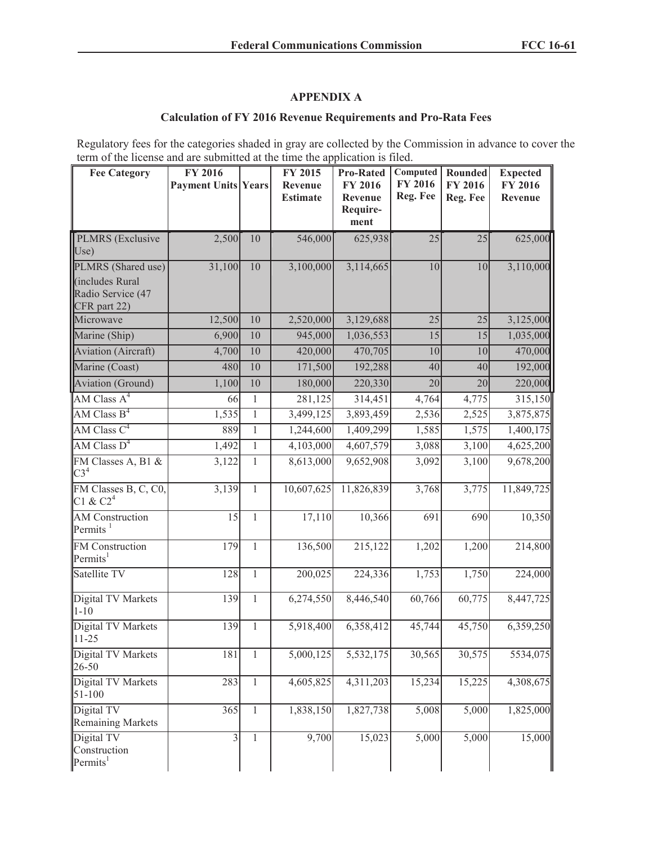# **APPENDIX A**

## **Calculation of FY 2016 Revenue Requirements and Pro-Rata Fees**

Regulatory fees for the categories shaded in gray are collected by the Commission in advance to cover the term of the license and are submitted at the time the application is filed.

| <b>Fee Category</b>                                  | FY 2016<br><b>Payment Units Years</b> |              | FY 2015<br>Revenue<br><b>Estimate</b> | <b>Pro-Rated</b><br>FY 2016<br>Revenue<br>Require- | Computed<br>FY 2016<br>Reg. Fee | Rounded<br>FY 2016<br>Reg. Fee | <b>Expected</b><br>FY 2016<br>Revenue |
|------------------------------------------------------|---------------------------------------|--------------|---------------------------------------|----------------------------------------------------|---------------------------------|--------------------------------|---------------------------------------|
|                                                      |                                       |              |                                       | ment                                               |                                 |                                |                                       |
| PLMRS (Exclusive<br>Use)                             | 2,500                                 | 10           | 546,000                               | 625,938                                            | 25                              | 25                             | 625,000                               |
| PLMRS (Shared use)                                   | 31,100                                | 10           | 3,100,000                             | 3,114,665                                          | 10                              | 10                             | 3,110,000                             |
| (includes Rural<br>Radio Service (47<br>CFR part 22) |                                       |              |                                       |                                                    |                                 |                                |                                       |
| Microwave                                            | 12,500                                | 10           | 2,520,000                             | 3,129,688                                          | 25                              | 25                             | 3,125,000                             |
| Marine (Ship)                                        | 6,900                                 | 10           | 945,000                               | 1,036,553                                          | 15                              | 15                             | 1,035,000                             |
| <b>Aviation</b> (Aircraft)                           | 4,700                                 | 10           | 420,000                               | 470,705                                            | 10                              | 10                             | 470,000                               |
| Marine (Coast)                                       | 480                                   | 10           | 171,500                               | 192,288                                            | 40                              | 40                             | 192,000                               |
| <b>Aviation</b> (Ground)                             | 1,100                                 | 10           | 180,000                               | 220,330                                            | 20                              | 20                             | 220,000                               |
| AM Class $A^4$                                       | 66                                    | $\mathbf{1}$ | 281,125                               | 314,451                                            | 4,764                           | 4,775                          | 315,150                               |
| $\overline{\text{AM Class B}}^4$                     | 1,535                                 | $\mathbf{1}$ | 3,499,125                             | 3,893,459                                          | 2,536                           | $\overline{2,525}$             | 3,875,875                             |
| AM Class $C^4$                                       | 889                                   | $\,1$        | 1,244,600                             | 1,409,299                                          | 1,585                           | 1,575                          | 1,400,175                             |
| AM Class $D^4$                                       | 1,492                                 | $\mathbf{1}$ | 4,103,000                             | 4,607,579                                          | 3,088                           | 3,100                          | 4,625,200                             |
| FM Classes A, B1 &<br>C3 <sup>4</sup>                | 3,122                                 | $\mathbf{1}$ | 8,613,000                             | 9,652,908                                          | 3,092                           | 3,100                          | 9,678,200                             |
| FM Classes B, C, C0,<br>C1 & C2 <sup>4</sup>         | 3,139                                 | $\mathbf{1}$ | 10,607,625                            | 11,826,839                                         | 3,768                           | 3,775                          | 11,849,725                            |
| <b>AM</b> Construction<br>Permits <sup>1</sup>       | 15                                    | $\mathbf{1}$ | 17,110                                | 10,366                                             | 691                             | 690                            | 10,350                                |
| FM Construction<br>Permits <sup>1</sup>              | 179                                   | $\mathbf{1}$ | 136,500                               | 215,122                                            | 1,202                           | 1,200                          | 214,800                               |
| Satellite TV                                         | 128                                   | $\,1$        | 200,025                               | 224,336                                            | 1,753                           | 1,750                          | 224,000                               |
| Digital TV Markets<br>$1 - 10$                       | 139                                   | $\mathbf{1}$ | 6,274,550                             | 8,446,540                                          | 60,766                          | 60,775                         | 8,447,725                             |
| Digital TV Markets<br>$11 - 25$                      | 139                                   | $\mathbf{1}$ | 5,918,400                             | 6,358,412                                          | 45,744                          | 45,750                         | 6,359,250                             |
| Digital TV Markets<br>26-50                          | 181                                   | $\mathbf{1}$ | 5,000,125                             | 5,532,175                                          | 30,565                          | 30,575                         | 5534,075                              |
| Digital TV Markets<br>$51 - 100$                     | 283                                   | $\mathbf{1}$ | 4,605,825                             | 4,311,203                                          | 15,234                          | 15,225                         | 4,308,675                             |
| Digital TV<br><b>Remaining Markets</b>               | 365                                   | $\mathbf{1}$ | 1,838,150                             | 1,827,738                                          | 5,008                           | 5,000                          | 1,825,000                             |
| Digital TV<br>Construction<br>Permits <sup>1</sup>   | $\overline{3}$                        | $\mathbf{1}$ | 9,700                                 | 15,023                                             | 5,000                           | 5,000                          | 15,000                                |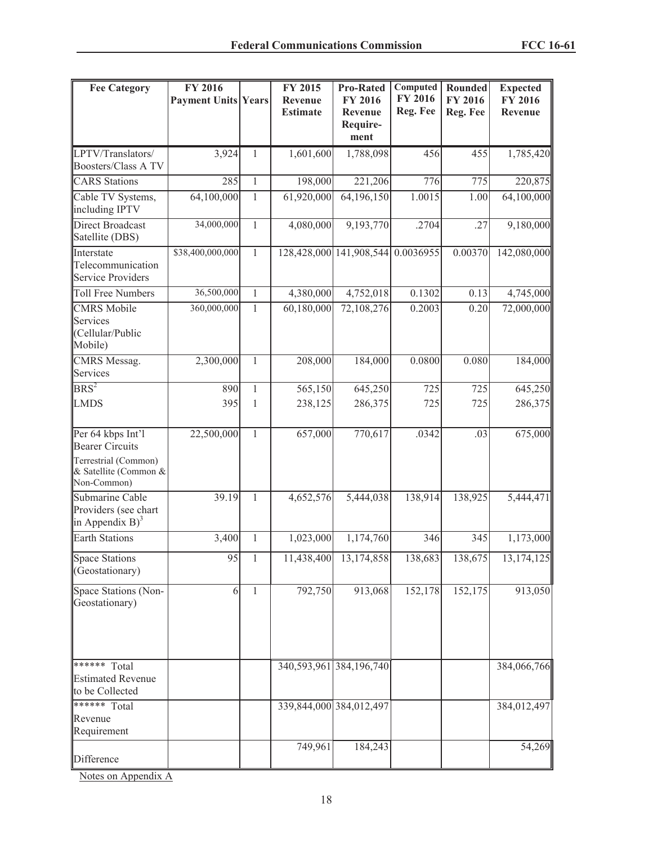| <b>Fee Category</b>                                                                                         | <b>FY 2016</b>             |              | <b>FY 2015</b>             | <b>Pro-Rated</b>                              | Computed                   | <b>Rounded</b>             | <b>Expected</b>           |
|-------------------------------------------------------------------------------------------------------------|----------------------------|--------------|----------------------------|-----------------------------------------------|----------------------------|----------------------------|---------------------------|
|                                                                                                             | <b>Payment Units Years</b> |              | Revenue<br><b>Estimate</b> | <b>FY 2016</b><br>Revenue<br>Require-<br>ment | <b>FY 2016</b><br>Reg. Fee | <b>FY 2016</b><br>Reg. Fee | <b>FY 2016</b><br>Revenue |
| LPTV/Translators/<br><b>Boosters/Class A TV</b>                                                             | 3,924                      | 1            | 1,601,600                  | 1,788,098                                     | 456                        | 455                        | 1,785,420                 |
| <b>CARS</b> Stations                                                                                        | 285                        | $\mathbf{1}$ | 198,000                    | 221,206                                       | 776                        | 775                        | 220,875                   |
| Cable TV Systems,<br>including IPTV                                                                         | 64,100,000                 | $\mathbf{1}$ | 61,920,000                 | 64,196,150                                    | 1.0015                     | 1.00                       | 64,100,000                |
| <b>Direct Broadcast</b><br>Satellite (DBS)                                                                  | 34,000,000                 | $\mathbf{1}$ | 4,080,000                  | 9,193,770                                     | .2704                      | .27                        | 9,180,000                 |
| Interstate<br>Telecommunication<br><b>Service Providers</b>                                                 | \$38,400,000,000           | $\mathbf{1}$ |                            | 128,428,000 141,908,544 0.0036955             |                            | 0.00370                    | 142,080,000               |
| <b>Toll Free Numbers</b>                                                                                    | 36,500,000                 | $\mathbf{1}$ | 4,380,000                  | 4,752,018                                     | 0.1302                     | 0.13                       | 4,745,000                 |
| <b>CMRS</b> Mobile<br>Services<br>(Cellular/Public<br>Mobile)                                               | 360,000,000                | $\mathbf{1}$ | 60,180,000                 | 72,108,276                                    | 0.2003                     | 0.20                       | 72,000,000                |
| CMRS Messag.<br>Services                                                                                    | 2,300,000                  | $\mathbf{1}$ | 208,000                    | 184,000                                       | 0.0800                     | 0.080                      | 184,000                   |
| BRS <sup>2</sup>                                                                                            | 890                        | $\mathbf{1}$ | 565,150                    | 645,250                                       | 725                        | 725                        | 645,250                   |
| <b>LMDS</b>                                                                                                 | 395                        | 1            | 238,125                    | 286,375                                       | 725                        | 725                        | 286,375                   |
| Per 64 kbps Int'l<br><b>Bearer Circuits</b><br>Terrestrial (Common)<br>& Satellite (Common &<br>Non-Common) | 22,500,000                 | $\mathbf{1}$ | 657,000                    | 770,617                                       | .0342                      | .03                        | 675,000                   |
| Submarine Cable<br>Providers (see chart<br>in Appendix $B$ <sup>3</sup>                                     | 39.19                      | $\mathbf{1}$ | 4,652,576                  | 5,444,038                                     | 138,914                    | 138,925                    | 5,444,471                 |
| <b>Earth Stations</b>                                                                                       | 3,400                      | $\mathbf{1}$ | 1,023,000                  | 1,174,760                                     | 346                        | 345                        | 1,173,000                 |
| <b>Space Stations</b><br>(Geostationary)                                                                    | 95                         | 1            | 11,438,400                 | 13,174,858                                    | 138,683                    | 138,675                    | 13,174,125                |
| Space Stations (Non-<br>Geostationary)                                                                      | 6                          | $\mathbf{1}$ | 792,750                    | 913,068                                       | 152,178                    | 152,175                    | 913,050                   |
| ****** Total<br><b>Estimated Revenue</b><br>to be Collected                                                 |                            |              |                            | 340, 593, 961 384, 196, 740                   |                            |                            | 384,066,766               |
| ****** Total<br>Revenue<br>Requirement                                                                      |                            |              | 339,844,000 384,012,497    |                                               |                            |                            | 384,012,497               |
| Difference                                                                                                  |                            |              | 749,961                    | 184,243                                       |                            |                            | 54,269                    |

Notes on Appendix A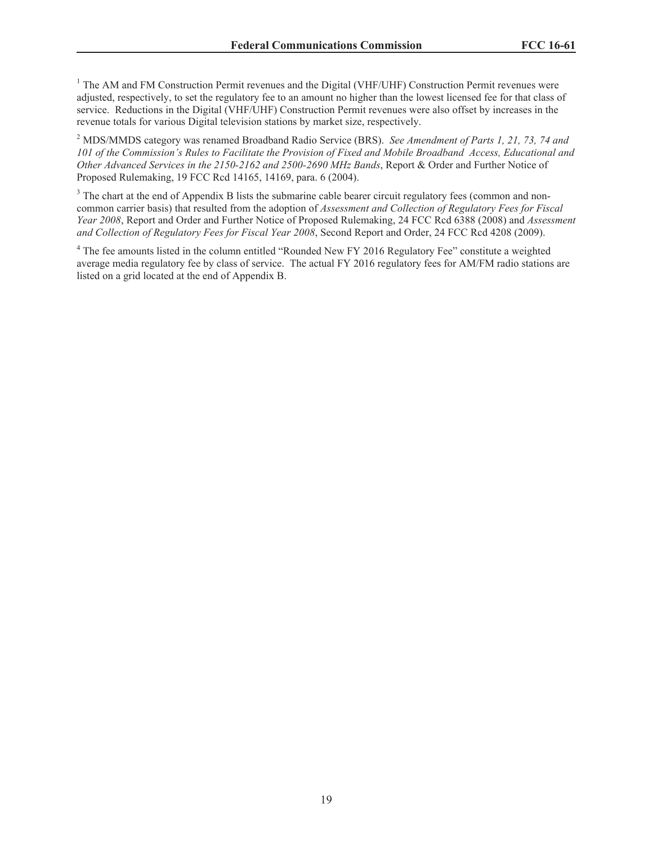<sup>1</sup> The AM and FM Construction Permit revenues and the Digital (VHF/UHF) Construction Permit revenues were adjusted, respectively, to set the regulatory fee to an amount no higher than the lowest licensed fee for that class of service. Reductions in the Digital (VHF/UHF) Construction Permit revenues were also offset by increases in the revenue totals for various Digital television stations by market size, respectively.

<sup>2</sup> MDS/MMDS category was renamed Broadband Radio Service (BRS). *See Amendment of Parts 1, 21, 73, 74 and 101 of the Commission's Rules to Facilitate the Provision of Fixed and Mobile Broadband Access, Educational and Other Advanced Services in the 2150-2162 and 2500-2690 MHz Bands*, Report & Order and Further Notice of Proposed Rulemaking, 19 FCC Rcd 14165, 14169, para. 6 (2004).

<sup>3</sup> The chart at the end of Appendix B lists the submarine cable bearer circuit regulatory fees (common and noncommon carrier basis) that resulted from the adoption of *Assessment and Collection of Regulatory Fees for Fiscal Year 2008*, Report and Order and Further Notice of Proposed Rulemaking, 24 FCC Rcd 6388 (2008) and *Assessment and Collection of Regulatory Fees for Fiscal Year 2008*, Second Report and Order, 24 FCC Rcd 4208 (2009).

<sup>4</sup> The fee amounts listed in the column entitled "Rounded New FY 2016 Regulatory Fee" constitute a weighted average media regulatory fee by class of service. The actual FY 2016 regulatory fees for AM/FM radio stations are listed on a grid located at the end of Appendix B.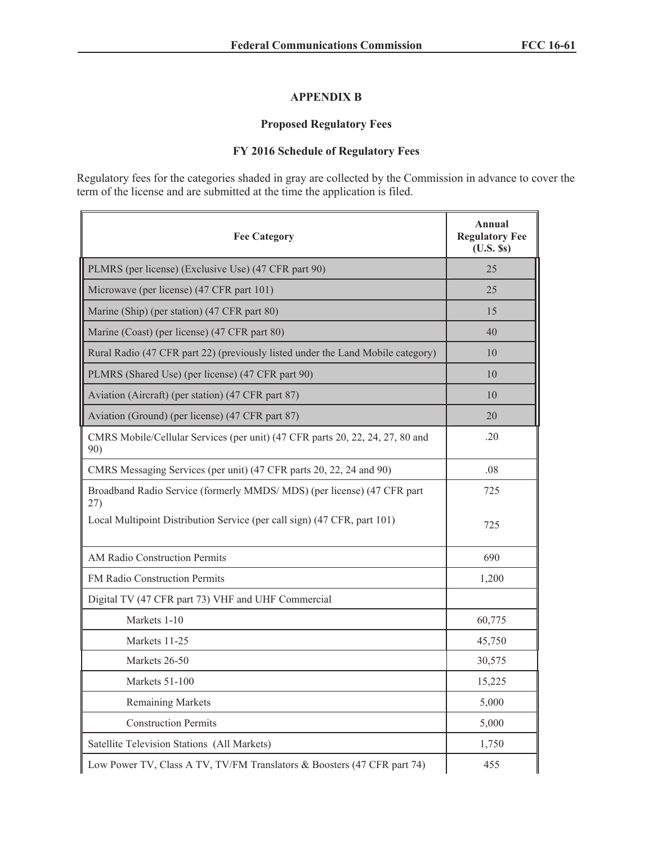## **APPENDIX B**

# **Proposed Regulatory Fees**

# **FY 2016 Schedule of Regulatory Fees**

Regulatory fees for the categories shaded in gray are collected by the Commission in advance to cover the term of the license and are submitted at the time the application is filed.

| <b>Fee Category</b>                                                                  | Annual<br><b>Regulatory Fee</b><br>$(U.S.$ Ss) |
|--------------------------------------------------------------------------------------|------------------------------------------------|
| PLMRS (per license) (Exclusive Use) (47 CFR part 90)                                 | 25                                             |
| Microwave (per license) (47 CFR part 101)                                            | 25                                             |
| Marine (Ship) (per station) (47 CFR part 80)                                         | 15                                             |
| Marine (Coast) (per license) (47 CFR part 80)                                        | 40                                             |
| Rural Radio (47 CFR part 22) (previously listed under the Land Mobile category)      | 10                                             |
| PLMRS (Shared Use) (per license) (47 CFR part 90)                                    | 10                                             |
| Aviation (Aircraft) (per station) (47 CFR part 87)                                   | 10                                             |
| Aviation (Ground) (per license) (47 CFR part 87)                                     | 20                                             |
| CMRS Mobile/Cellular Services (per unit) (47 CFR parts 20, 22, 24, 27, 80 and<br>90) | .20                                            |
| CMRS Messaging Services (per unit) (47 CFR parts 20, 22, 24 and 90)                  | .08                                            |
| Broadband Radio Service (formerly MMDS/MDS) (per license) (47 CFR part<br>27)        | 725                                            |
| Local Multipoint Distribution Service (per call sign) (47 CFR, part 101)             | 725                                            |
| AM Radio Construction Permits                                                        | 690                                            |
| FM Radio Construction Permits                                                        | 1,200                                          |
| Digital TV (47 CFR part 73) VHF and UHF Commercial                                   |                                                |
| Markets 1-10                                                                         | 60,775                                         |
| Markets 11-25                                                                        | 45,750                                         |
| Markets 26-50                                                                        | 30,575                                         |
| Markets 51-100                                                                       | 15,225                                         |
| <b>Remaining Markets</b>                                                             | 5,000                                          |
| <b>Construction Permits</b>                                                          | 5,000                                          |
| Satellite Television Stations (All Markets)                                          | 1,750                                          |
| Low Power TV, Class A TV, TV/FM Translators & Boosters (47 CFR part 74)              | 455                                            |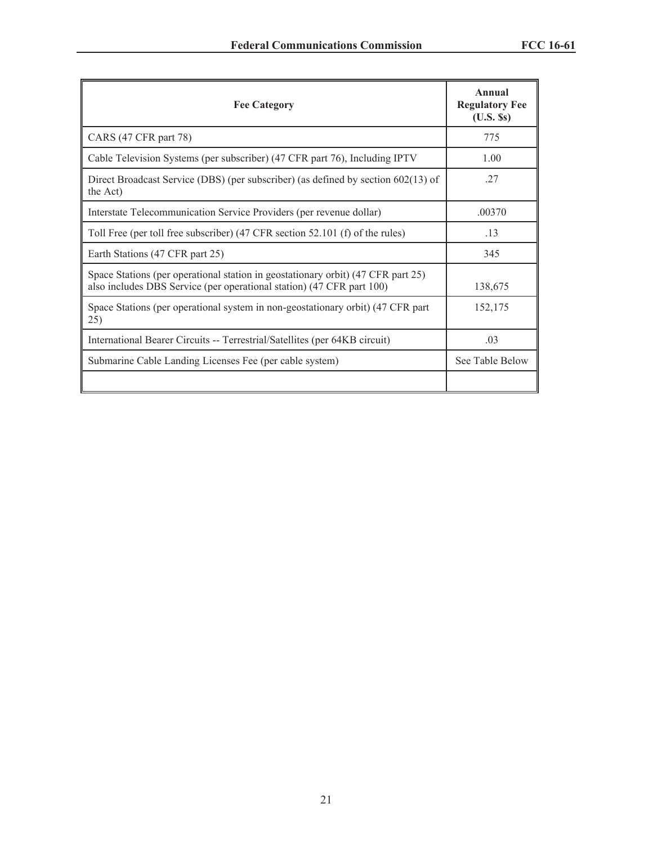| <b>Fee Category</b>                                                                                                                                       | Annual<br><b>Regulatory Fee</b><br>$(U.S.$ $\S$ s $)$ |
|-----------------------------------------------------------------------------------------------------------------------------------------------------------|-------------------------------------------------------|
| CARS (47 CFR part 78)                                                                                                                                     | 775                                                   |
| Cable Television Systems (per subscriber) (47 CFR part 76), Including IPTV                                                                                | 1.00                                                  |
| Direct Broadcast Service (DBS) (per subscriber) (as defined by section $602(13)$ of<br>the Act)                                                           | .27                                                   |
| Interstate Telecommunication Service Providers (per revenue dollar)                                                                                       | .00370                                                |
| Toll Free (per toll free subscriber) (47 CFR section 52.101 (f) of the rules)                                                                             | .13                                                   |
| Earth Stations (47 CFR part 25)                                                                                                                           | 345                                                   |
| Space Stations (per operational station in geostationary orbit) (47 CFR part 25)<br>also includes DBS Service (per operational station) (47 CFR part 100) | 138,675                                               |
| Space Stations (per operational system in non-geostationary orbit) (47 CFR part<br>25)                                                                    | 152,175                                               |
| International Bearer Circuits -- Terrestrial/Satellites (per 64KB circuit)                                                                                | .03                                                   |
| Submarine Cable Landing Licenses Fee (per cable system)                                                                                                   | See Table Below                                       |
|                                                                                                                                                           |                                                       |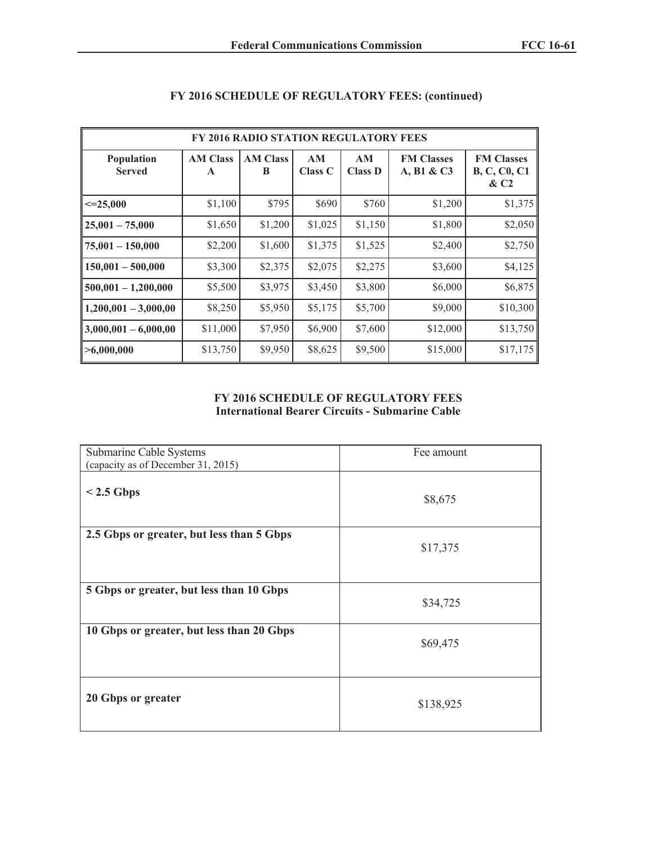| <b>FY 2016 RADIO STATION REGULATORY FEES</b> |                                 |                      |               |                      |                                 |                                                    |  |  |
|----------------------------------------------|---------------------------------|----------------------|---------------|----------------------|---------------------------------|----------------------------------------------------|--|--|
| Population<br><b>Served</b>                  | <b>AM Class</b><br>$\mathbf{A}$ | <b>AM Class</b><br>B | AM<br>Class C | AM<br><b>Class D</b> | <b>FM Classes</b><br>A, B1 & C3 | <b>FM Classes</b><br><b>B, C, C0, C1</b><br>$\&C2$ |  |  |
| $\leq 25,000$                                | \$1,100                         | \$795                | \$690         | \$760                | \$1,200                         | \$1,375                                            |  |  |
| $25,001 - 75,000$                            | \$1,650                         | \$1,200              | \$1,025       | \$1,150              | \$1,800                         | \$2,050                                            |  |  |
| $75,001 - 150,000$                           | \$2,200                         | \$1,600              | \$1,375       | \$1,525              | \$2,400                         | \$2,750                                            |  |  |
| $150,001 - 500,000$                          | \$3,300                         | \$2,375              | \$2,075       | \$2,275              | \$3,600                         | \$4,125                                            |  |  |
| $500,001 - 1,200,000$                        | \$5,500                         | \$3,975              | \$3,450       | \$3,800              | \$6,000                         | \$6,875                                            |  |  |
| $1,200,001 - 3,000,00$                       | \$8,250                         | \$5,950              | \$5,175       | \$5,700              | \$9,000                         | \$10,300                                           |  |  |
| $3,000,001 - 6,000,00$                       | \$11,000                        | \$7,950              | \$6,900       | \$7,600              | \$12,000                        | \$13,750                                           |  |  |
| >6,000,000                                   | \$13,750                        | \$9,950              | \$8,625       | \$9,500              | \$15,000                        | \$17,175                                           |  |  |

# **FY 2016 SCHEDULE OF REGULATORY FEES: (continued)**

#### **FY 2016 SCHEDULE OF REGULATORY FEES International Bearer Circuits - Submarine Cable**

| Submarine Cable Systems<br>(capacity as of December 31, 2015) | Fee amount |
|---------------------------------------------------------------|------------|
| $< 2.5$ Gbps                                                  | \$8,675    |
| 2.5 Gbps or greater, but less than 5 Gbps                     | \$17,375   |
| 5 Gbps or greater, but less than 10 Gbps                      | \$34,725   |
| 10 Gbps or greater, but less than 20 Gbps                     | \$69,475   |
| 20 Gbps or greater                                            | \$138,925  |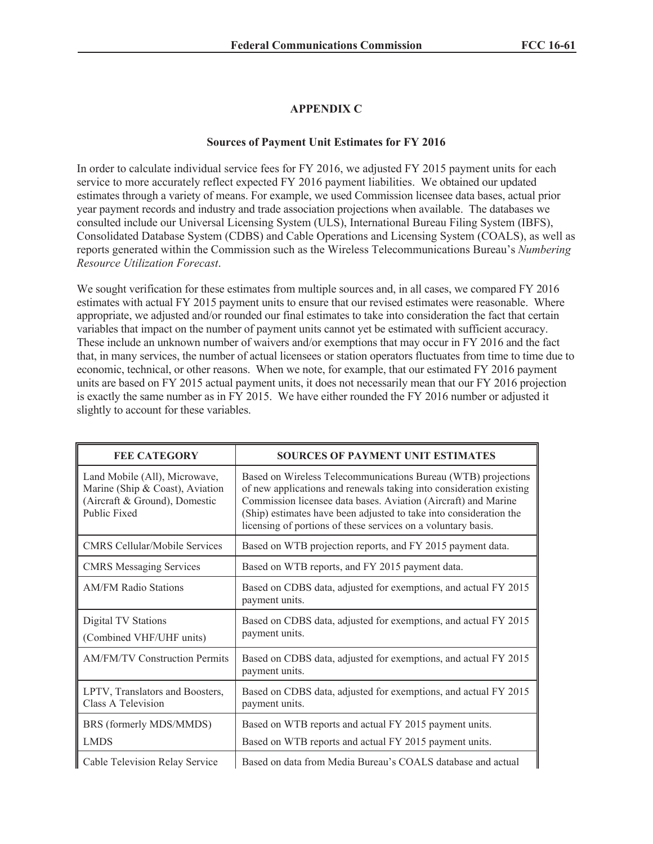## **APPENDIX C**

#### **Sources of Payment Unit Estimates for FY 2016**

In order to calculate individual service fees for FY 2016, we adjusted FY 2015 payment units for each service to more accurately reflect expected FY 2016 payment liabilities. We obtained our updated estimates through a variety of means. For example, we used Commission licensee data bases, actual prior year payment records and industry and trade association projections when available. The databases we consulted include our Universal Licensing System (ULS), International Bureau Filing System (IBFS), Consolidated Database System (CDBS) and Cable Operations and Licensing System (COALS), as well as reports generated within the Commission such as the Wireless Telecommunications Bureau's *Numbering Resource Utilization Forecast*.

We sought verification for these estimates from multiple sources and, in all cases, we compared FY 2016 estimates with actual FY 2015 payment units to ensure that our revised estimates were reasonable. Where appropriate, we adjusted and/or rounded our final estimates to take into consideration the fact that certain variables that impact on the number of payment units cannot yet be estimated with sufficient accuracy. These include an unknown number of waivers and/or exemptions that may occur in FY 2016 and the fact that, in many services, the number of actual licensees or station operators fluctuates from time to time due to economic, technical, or other reasons. When we note, for example, that our estimated FY 2016 payment units are based on FY 2015 actual payment units, it does not necessarily mean that our FY 2016 projection is exactly the same number as in FY 2015. We have either rounded the FY 2016 number or adjusted it slightly to account for these variables.

| <b>FEE CATEGORY</b>                                                                                               | <b>SOURCES OF PAYMENT UNIT ESTIMATES</b>                                                                                                                                                                                                                                                                                                      |
|-------------------------------------------------------------------------------------------------------------------|-----------------------------------------------------------------------------------------------------------------------------------------------------------------------------------------------------------------------------------------------------------------------------------------------------------------------------------------------|
| Land Mobile (All), Microwave,<br>Marine (Ship & Coast), Aviation<br>(Aircraft & Ground), Domestic<br>Public Fixed | Based on Wireless Telecommunications Bureau (WTB) projections<br>of new applications and renewals taking into consideration existing<br>Commission licensee data bases. Aviation (Aircraft) and Marine<br>(Ship) estimates have been adjusted to take into consideration the<br>licensing of portions of these services on a voluntary basis. |
| <b>CMRS</b> Cellular/Mobile Services                                                                              | Based on WTB projection reports, and FY 2015 payment data.                                                                                                                                                                                                                                                                                    |
| <b>CMRS</b> Messaging Services                                                                                    | Based on WTB reports, and FY 2015 payment data.                                                                                                                                                                                                                                                                                               |
| <b>AM/FM Radio Stations</b>                                                                                       | Based on CDBS data, adjusted for exemptions, and actual FY 2015<br>payment units.                                                                                                                                                                                                                                                             |
| Digital TV Stations<br>(Combined VHF/UHF units)                                                                   | Based on CDBS data, adjusted for exemptions, and actual FY 2015<br>payment units.                                                                                                                                                                                                                                                             |
| <b>AM/FM/TV Construction Permits</b>                                                                              | Based on CDBS data, adjusted for exemptions, and actual FY 2015<br>payment units.                                                                                                                                                                                                                                                             |
| LPTV, Translators and Boosters,<br>Class A Television                                                             | Based on CDBS data, adjusted for exemptions, and actual FY 2015<br>payment units.                                                                                                                                                                                                                                                             |
| BRS (formerly MDS/MMDS)<br><b>LMDS</b>                                                                            | Based on WTB reports and actual FY 2015 payment units.<br>Based on WTB reports and actual FY 2015 payment units.                                                                                                                                                                                                                              |
| Cable Television Relay Service                                                                                    | Based on data from Media Bureau's COALS database and actual                                                                                                                                                                                                                                                                                   |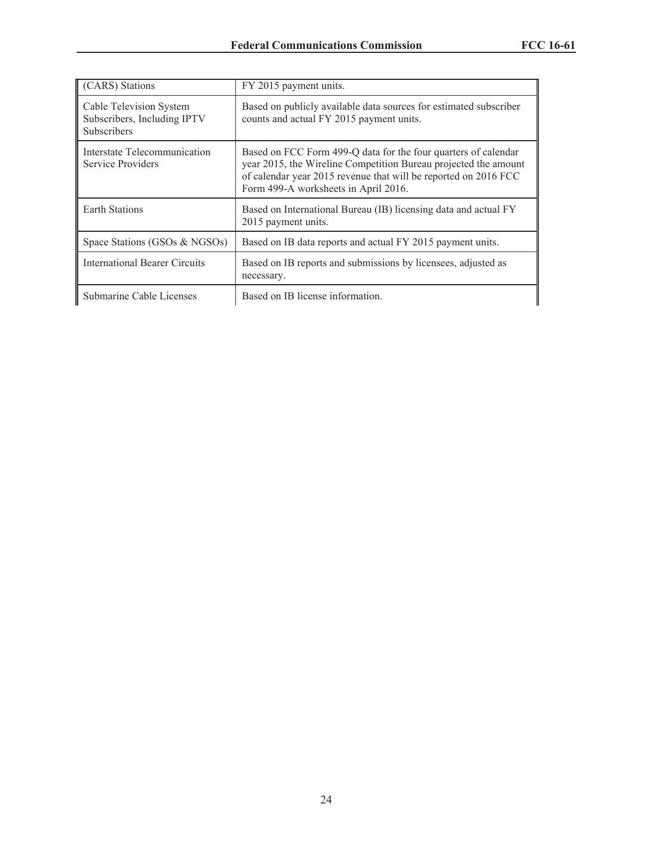| (CARS) Stations                                                       | FY 2015 payment units.                                                                                                                                                                                                                       |
|-----------------------------------------------------------------------|----------------------------------------------------------------------------------------------------------------------------------------------------------------------------------------------------------------------------------------------|
| Cable Television System<br>Subscribers, Including IPTV<br>Subscribers | Based on publicly available data sources for estimated subscriber<br>counts and actual FY 2015 payment units.                                                                                                                                |
| Interstate Telecommunication<br>Service Providers                     | Based on FCC Form 499-Q data for the four quarters of calendar<br>year 2015, the Wireline Competition Bureau projected the amount<br>of calendar year 2015 revenue that will be reported on 2016 FCC<br>Form 499-A worksheets in April 2016. |
| <b>Earth Stations</b>                                                 | Based on International Bureau (IB) licensing data and actual FY<br>2015 payment units.                                                                                                                                                       |
| Space Stations (GSOs & NGSOs)                                         | Based on IB data reports and actual FY 2015 payment units.                                                                                                                                                                                   |
| International Bearer Circuits                                         | Based on IB reports and submissions by licensees, adjusted as<br>necessary.                                                                                                                                                                  |
| Submarine Cable Licenses                                              | Based on IB license information.                                                                                                                                                                                                             |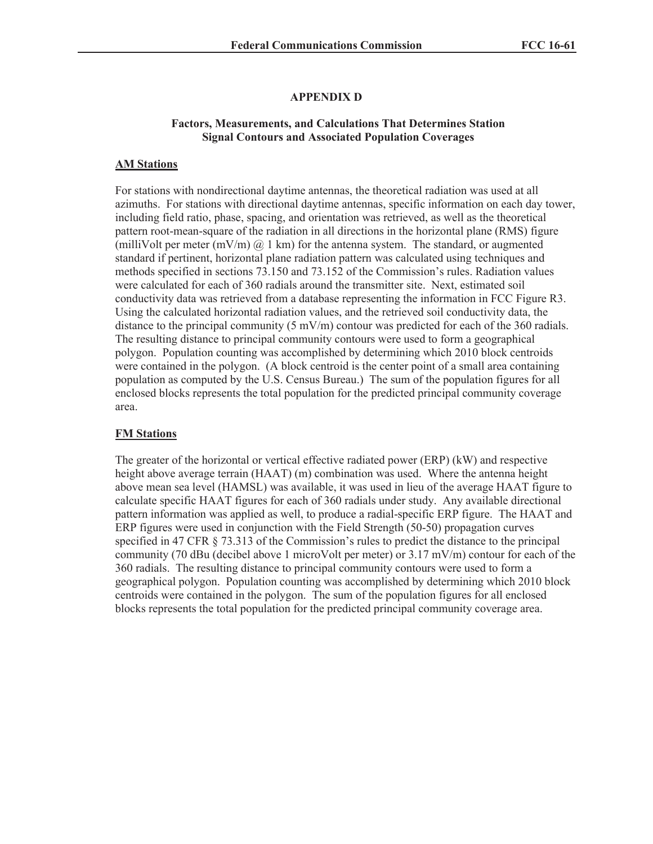# **APPENDIX D**

#### **Factors, Measurements, and Calculations That Determines Station Signal Contours and Associated Population Coverages**

### **AM Stations**

For stations with nondirectional daytime antennas, the theoretical radiation was used at all azimuths. For stations with directional daytime antennas, specific information on each day tower, including field ratio, phase, spacing, and orientation was retrieved, as well as the theoretical pattern root-mean-square of the radiation in all directions in the horizontal plane (RMS) figure (milliVolt per meter (mV/m)  $\omega$  1 km) for the antenna system. The standard, or augmented standard if pertinent, horizontal plane radiation pattern was calculated using techniques and methods specified in sections 73.150 and 73.152 of the Commission's rules. Radiation values were calculated for each of 360 radials around the transmitter site. Next, estimated soil conductivity data was retrieved from a database representing the information in FCC Figure R3. Using the calculated horizontal radiation values, and the retrieved soil conductivity data, the distance to the principal community  $(5 \text{ mV/m})$  contour was predicted for each of the 360 radials. The resulting distance to principal community contours were used to form a geographical polygon. Population counting was accomplished by determining which 2010 block centroids were contained in the polygon. (A block centroid is the center point of a small area containing population as computed by the U.S. Census Bureau.) The sum of the population figures for all enclosed blocks represents the total population for the predicted principal community coverage area.

#### **FM Stations**

The greater of the horizontal or vertical effective radiated power (ERP) (kW) and respective height above average terrain (HAAT) (m) combination was used. Where the antenna height above mean sea level (HAMSL) was available, it was used in lieu of the average HAAT figure to calculate specific HAAT figures for each of 360 radials under study. Any available directional pattern information was applied as well, to produce a radial-specific ERP figure. The HAAT and ERP figures were used in conjunction with the Field Strength (50-50) propagation curves specified in 47 CFR § 73.313 of the Commission's rules to predict the distance to the principal community (70 dBu (decibel above 1 microVolt per meter) or 3.17 mV/m) contour for each of the 360 radials. The resulting distance to principal community contours were used to form a geographical polygon. Population counting was accomplished by determining which 2010 block centroids were contained in the polygon. The sum of the population figures for all enclosed blocks represents the total population for the predicted principal community coverage area.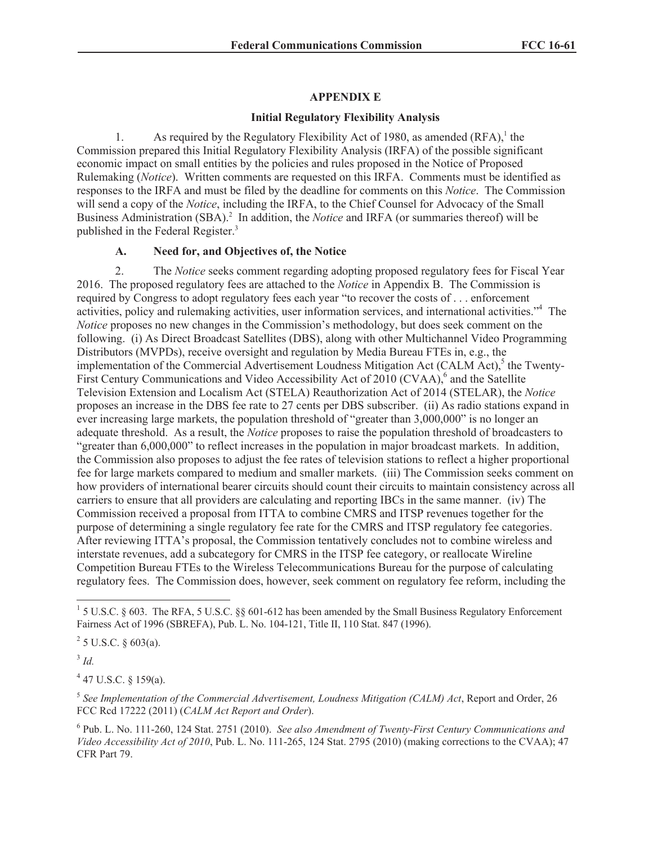### **APPENDIX E**

## **Initial Regulatory Flexibility Analysis**

1. As required by the Regulatory Flexibility Act of 1980, as amended  $(RFA)$ ,<sup>1</sup> the Commission prepared this Initial Regulatory Flexibility Analysis (IRFA) of the possible significant economic impact on small entities by the policies and rules proposed in the Notice of Proposed Rulemaking (*Notice*). Written comments are requested on this IRFA. Comments must be identified as responses to the IRFA and must be filed by the deadline for comments on this *Notice*. The Commission will send a copy of the *Notice*, including the IRFA, to the Chief Counsel for Advocacy of the Small Business Administration (SBA).<sup>2</sup> In addition, the *Notice* and IRFA (or summaries thereof) will be published in the Federal Register.<sup>3</sup>

## **A. Need for, and Objectives of, the Notice**

2. The *Notice* seeks comment regarding adopting proposed regulatory fees for Fiscal Year 2016. The proposed regulatory fees are attached to the *Notice* in Appendix B. The Commission is required by Congress to adopt regulatory fees each year "to recover the costs of . . . enforcement activities, policy and rulemaking activities, user information services, and international activities."<sup>4</sup> The *Notice* proposes no new changes in the Commission's methodology, but does seek comment on the following. (i) As Direct Broadcast Satellites (DBS), along with other Multichannel Video Programming Distributors (MVPDs), receive oversight and regulation by Media Bureau FTEs in, e.g., the implementation of the Commercial Advertisement Loudness Mitigation Act (CALM Act),<sup>5</sup> the Twenty-First Century Communications and Video Accessibility Act of 2010 (CVAA),<sup>6</sup> and the Satellite Television Extension and Localism Act (STELA) Reauthorization Act of 2014 (STELAR), the *Notice* proposes an increase in the DBS fee rate to 27 cents per DBS subscriber. (ii) As radio stations expand in ever increasing large markets, the population threshold of "greater than 3,000,000" is no longer an adequate threshold. As a result, the *Notice* proposes to raise the population threshold of broadcasters to "greater than 6,000,000" to reflect increases in the population in major broadcast markets. In addition, the Commission also proposes to adjust the fee rates of television stations to reflect a higher proportional fee for large markets compared to medium and smaller markets. (iii) The Commission seeks comment on how providers of international bearer circuits should count their circuits to maintain consistency across all carriers to ensure that all providers are calculating and reporting IBCs in the same manner. (iv) The Commission received a proposal from ITTA to combine CMRS and ITSP revenues together for the purpose of determining a single regulatory fee rate for the CMRS and ITSP regulatory fee categories. After reviewing ITTA's proposal, the Commission tentatively concludes not to combine wireless and interstate revenues, add a subcategory for CMRS in the ITSP fee category, or reallocate Wireline Competition Bureau FTEs to the Wireless Telecommunications Bureau for the purpose of calculating regulatory fees. The Commission does, however, seek comment on regulatory fee reform, including the

3 *Id.*

 $4$  47 U.S.C. § 159(a).

<sup>5</sup> See Implementation of the Commercial Advertisement, Loudness Mitigation (CALM) Act, Report and Order, 26 FCC Rcd 17222 (2011) (*CALM Act Report and Order*).

<sup>&</sup>lt;sup>1</sup> 5 U.S.C. § 603. The RFA, 5 U.S.C. §§ 601-612 has been amended by the Small Business Regulatory Enforcement Fairness Act of 1996 (SBREFA), Pub. L. No. 104-121, Title II, 110 Stat. 847 (1996).

 $2^2$  5 U.S.C. § 603(a).

<sup>6</sup> Pub. L. No. 111-260, 124 Stat. 2751 (2010). *See also Amendment of Twenty-First Century Communications and Video Accessibility Act of 2010*, Pub. L. No. 111-265, 124 Stat. 2795 (2010) (making corrections to the CVAA); 47 CFR Part 79.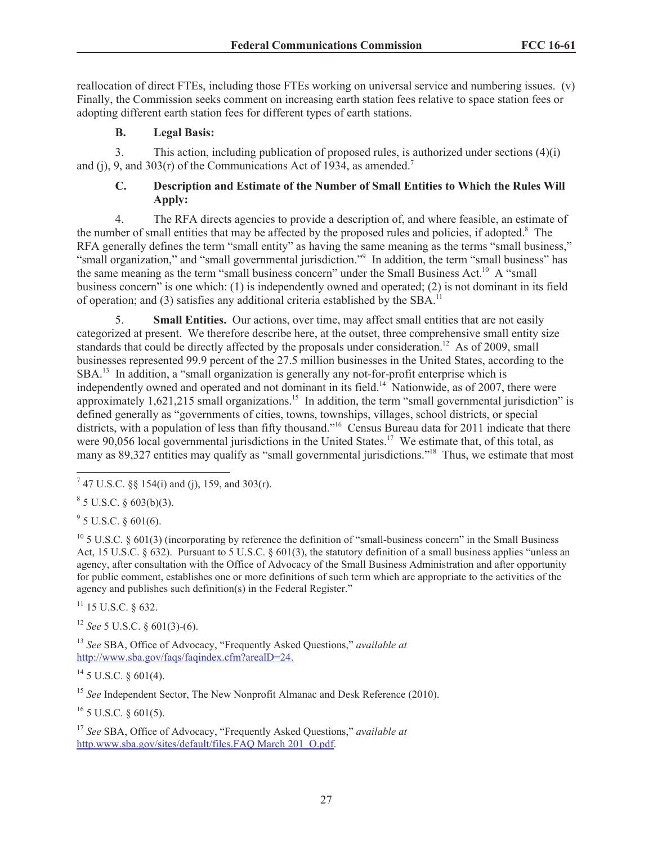reallocation of direct FTEs, including those FTEs working on universal service and numbering issues. (v) Finally, the Commission seeks comment on increasing earth station fees relative to space station fees or adopting different earth station fees for different types of earth stations.

# **B. Legal Basis:**

3. This action, including publication of proposed rules, is authorized under sections (4)(i) and (i), 9, and 303(r) of the Communications Act of 1934, as amended.<sup>7</sup>

# **C. Description and Estimate of the Number of Small Entities to Which the Rules Will Apply:**

4. The RFA directs agencies to provide a description of, and where feasible, an estimate of the number of small entities that may be affected by the proposed rules and policies, if adopted.<sup>8</sup> The RFA generally defines the term "small entity" as having the same meaning as the terms "small business," "small organization," and "small governmental jurisdiction."<sup>9</sup> In addition, the term "small business" has the same meaning as the term "small business concern" under the Small Business Act.<sup>10</sup> A "small business concern" is one which: (1) is independently owned and operated; (2) is not dominant in its field of operation; and (3) satisfies any additional criteria established by the SBA.<sup>11</sup>

5. **Small Entities.** Our actions, over time, may affect small entities that are not easily categorized at present. We therefore describe here, at the outset, three comprehensive small entity size standards that could be directly affected by the proposals under consideration.<sup>12</sup> As of 2009, small businesses represented 99.9 percent of the 27.5 million businesses in the United States, according to the SBA.<sup>13</sup> In addition, a "small organization is generally any not-for-profit enterprise which is independently owned and operated and not dominant in its field.<sup>14</sup> Nationwide, as of 2007, there were approximately 1,621,215 small organizations.<sup>15</sup> In addition, the term "small governmental jurisdiction" is defined generally as "governments of cities, towns, townships, villages, school districts, or special districts, with a population of less than fifty thousand."<sup>16</sup> Census Bureau data for 2011 indicate that there were 90,056 local governmental jurisdictions in the United States.<sup>17</sup> We estimate that, of this total, as many as 89,327 entities may qualify as "small governmental jurisdictions."<sup>18</sup> Thus, we estimate that most

 $9^9$  5 U.S.C. § 601(6).

 $10^{\circ}$  5 U.S.C. § 601(3) (incorporating by reference the definition of "small-business concern" in the Small Business Act, 15 U.S.C. § 632). Pursuant to 5 U.S.C. § 601(3), the statutory definition of a small business applies "unless an agency, after consultation with the Office of Advocacy of the Small Business Administration and after opportunity for public comment, establishes one or more definitions of such term which are appropriate to the activities of the agency and publishes such definition(s) in the Federal Register."

 $11$  15 U.S.C. 8 632.

<sup>12</sup> *See* 5 U.S.C. § 601(3)-(6).

<sup>13</sup> *See* SBA, Office of Advocacy, "Frequently Asked Questions," *available at* http://www.sba.gov/faqs/faqindex.cfm?arealD=24.

 $14$  5 U.S.C. § 601(4).

<sup>15</sup> *See* Independent Sector, The New Nonprofit Almanac and Desk Reference (2010).

 $^{16}$  5 U.S.C. § 601(5).

<sup>17</sup> *See* SBA, Office of Advocacy, "Frequently Asked Questions," *available at* http.www.sba.gov/sites/default/files.FAQ March 201\_O.pdf.

<sup>&</sup>lt;sup>7</sup> 47 U.S.C. §§ 154(i) and (j), 159, and 303(r).

 $8^8$  5 U.S.C. § 603(b)(3).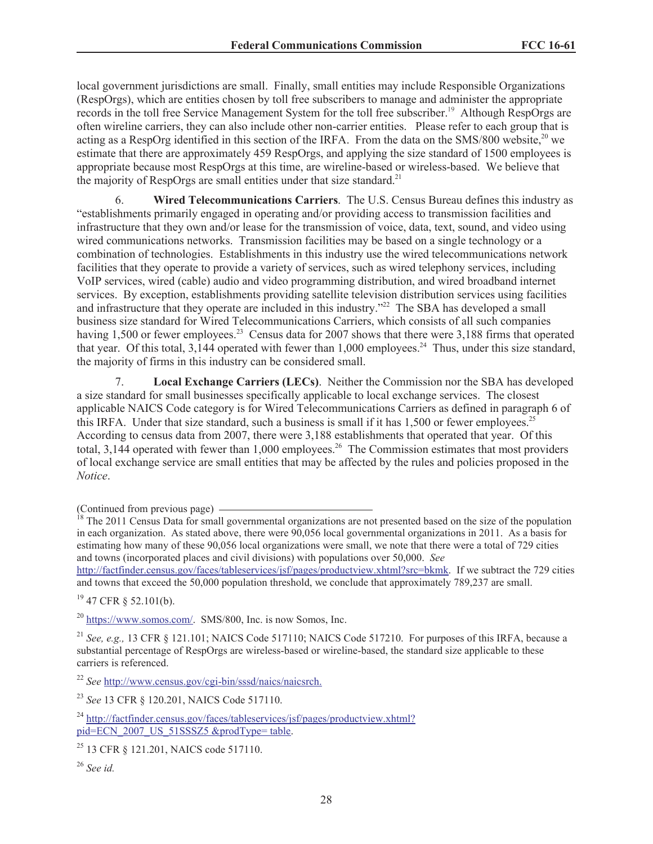local government jurisdictions are small. Finally, small entities may include Responsible Organizations (RespOrgs), which are entities chosen by toll free subscribers to manage and administer the appropriate records in the toll free Service Management System for the toll free subscriber.<sup>19</sup> Although RespOrgs are often wireline carriers, they can also include other non-carrier entities. Please refer to each group that is acting as a RespOrg identified in this section of the IRFA. From the data on the SMS/800 website, $^{20}$  we estimate that there are approximately 459 RespOrgs, and applying the size standard of 1500 employees is appropriate because most RespOrgs at this time, are wireline-based or wireless-based. We believe that the majority of RespOrgs are small entities under that size standard.<sup>21</sup>

6. **Wired Telecommunications Carriers**. The U.S. Census Bureau defines this industry as "establishments primarily engaged in operating and/or providing access to transmission facilities and infrastructure that they own and/or lease for the transmission of voice, data, text, sound, and video using wired communications networks. Transmission facilities may be based on a single technology or a combination of technologies. Establishments in this industry use the wired telecommunications network facilities that they operate to provide a variety of services, such as wired telephony services, including VoIP services, wired (cable) audio and video programming distribution, and wired broadband internet services. By exception, establishments providing satellite television distribution services using facilities and infrastructure that they operate are included in this industry."<sup>22</sup> The SBA has developed a small business size standard for Wired Telecommunications Carriers, which consists of all such companies having 1,500 or fewer employees.<sup>23</sup> Census data for 2007 shows that there were 3,188 firms that operated that year. Of this total,  $3,144$  operated with fewer than 1,000 employees.<sup>24</sup> Thus, under this size standard, the majority of firms in this industry can be considered small.

7. **Local Exchange Carriers (LECs)**. Neither the Commission nor the SBA has developed a size standard for small businesses specifically applicable to local exchange services. The closest applicable NAICS Code category is for Wired Telecommunications Carriers as defined in paragraph 6 of this IRFA. Under that size standard, such a business is small if it has  $1,500$  or fewer employees.<sup>25</sup> According to census data from 2007, there were 3,188 establishments that operated that year. Of this total, 3,144 operated with fewer than 1,000 employees.<sup>26</sup> The Commission estimates that most providers of local exchange service are small entities that may be affected by the rules and policies proposed in the *Notice*.

http://factfinder.census.gov/faces/tableservices/jsf/pages/productview.xhtml?src=bkmk. If we subtract the 729 cities and towns that exceed the 50,000 population threshold, we conclude that approximately 789,237 are small.

 $19$  47 CFR  $\delta$  52.101(b).

<sup>20</sup> https://www.somos.com/. SMS/800, Inc. is now Somos, Inc.

<sup>22</sup> *See* http://www.census.gov/cgi-bin/sssd/naics/naicsrch.

<sup>23</sup> *See* 13 CFR § 120.201, NAICS Code 517110.

<sup>(</sup>Continued from previous page)

<sup>&</sup>lt;sup>18</sup> The 2011 Census Data for small governmental organizations are not presented based on the size of the population in each organization. As stated above, there were 90,056 local governmental organizations in 2011. As a basis for estimating how many of these 90,056 local organizations were small, we note that there were a total of 729 cities and towns (incorporated places and civil divisions) with populations over 50,000. *See*

<sup>21</sup> *See, e.g.,* 13 CFR § 121.101; NAICS Code 517110; NAICS Code 517210. For purposes of this IRFA, because a substantial percentage of RespOrgs are wireless-based or wireline-based, the standard size applicable to these carriers is referenced.

<sup>&</sup>lt;sup>24</sup> http://factfinder.census.gov/faces/tableservices/jsf/pages/productview.xhtml? pid=ECN\_2007\_US\_51SSSZ5 &prodType= table.

<sup>&</sup>lt;sup>25</sup> 13 CFR § 121.201, NAICS code 517110.

<sup>26</sup> *See id.*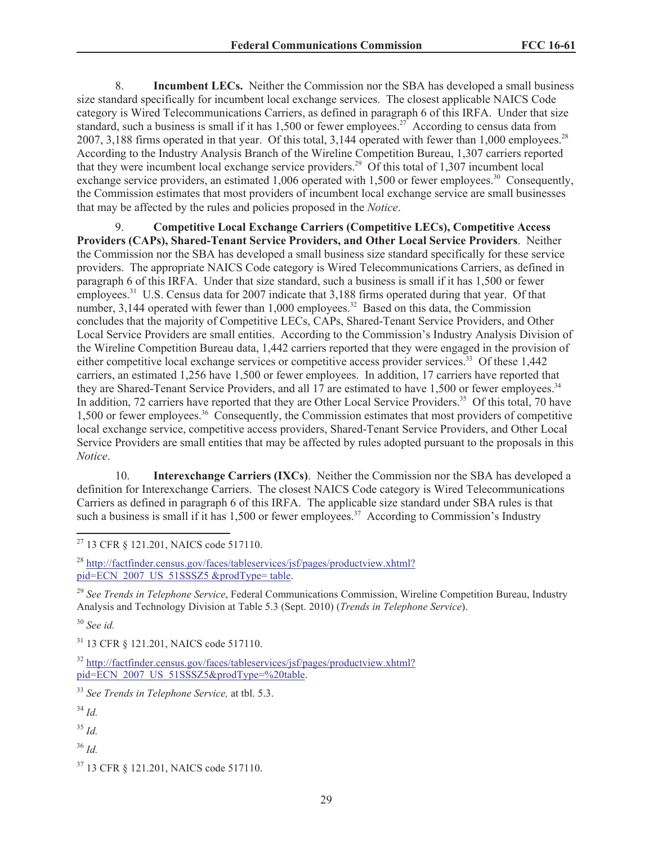8. **Incumbent LECs.** Neither the Commission nor the SBA has developed a small business size standard specifically for incumbent local exchange services. The closest applicable NAICS Code category is Wired Telecommunications Carriers, as defined in paragraph 6 of this IRFA. Under that size standard, such a business is small if it has  $1,500$  or fewer employees.<sup>27</sup> According to census data from 2007, 3,188 firms operated in that year. Of this total, 3,144 operated with fewer than 1,000 employees.<sup>28</sup> According to the Industry Analysis Branch of the Wireline Competition Bureau, 1,307 carriers reported that they were incumbent local exchange service providers.<sup>29</sup> Of this total of 1,307 incumbent local exchange service providers, an estimated 1,006 operated with 1,500 or fewer employees.<sup>30</sup> Consequently, the Commission estimates that most providers of incumbent local exchange service are small businesses that may be affected by the rules and policies proposed in the *Notice*.

9. **Competitive Local Exchange Carriers (Competitive LECs), Competitive Access Providers (CAPs), Shared-Tenant Service Providers, and Other Local Service Providers**. Neither the Commission nor the SBA has developed a small business size standard specifically for these service providers. The appropriate NAICS Code category is Wired Telecommunications Carriers, as defined in paragraph 6 of this IRFA. Under that size standard, such a business is small if it has 1,500 or fewer employees.<sup>31</sup> U.S. Census data for 2007 indicate that 3,188 firms operated during that year. Of that number, 3,144 operated with fewer than 1,000 employees.<sup>32</sup> Based on this data, the Commission concludes that the majority of Competitive LECs, CAPs, Shared-Tenant Service Providers, and Other Local Service Providers are small entities. According to the Commission's Industry Analysis Division of the Wireline Competition Bureau data, 1,442 carriers reported that they were engaged in the provision of either competitive local exchange services or competitive access provider services.<sup>33</sup> Of these 1,442 carriers, an estimated 1,256 have 1,500 or fewer employees. In addition, 17 carriers have reported that they are Shared-Tenant Service Providers, and all  $17$  are estimated to have 1,500 or fewer employees.<sup>34</sup> In addition, 72 carriers have reported that they are Other Local Service Providers.<sup>35</sup> Of this total, 70 have 1,500 or fewer employees.<sup>36</sup> Consequently, the Commission estimates that most providers of competitive local exchange service, competitive access providers, Shared-Tenant Service Providers, and Other Local Service Providers are small entities that may be affected by rules adopted pursuant to the proposals in this *Notice*.

10. **Interexchange Carriers (IXCs)**. Neither the Commission nor the SBA has developed a definition for Interexchange Carriers. The closest NAICS Code category is Wired Telecommunications Carriers as defined in paragraph 6 of this IRFA. The applicable size standard under SBA rules is that such a business is small if it has  $1,500$  or fewer employees.<sup>37</sup> According to Commission's Industry

<sup>28</sup> http://factfinder.census.gov/faces/tableservices/jsf/pages/productview.xhtml? pid=ECN\_2007\_US\_51SSSZ5 &prodType= table.

<sup>29</sup> *See Trends in Telephone Service*, Federal Communications Commission, Wireline Competition Bureau, Industry Analysis and Technology Division at Table 5.3 (Sept. 2010) (*Trends in Telephone Service*).

<sup>30</sup> *See id.*

<sup>31</sup> 13 CFR § 121.201, NAICS code 517110.

<sup>33</sup> *See Trends in Telephone Service,* at tbl. 5.3.

<sup>34</sup> *Id.*

<sup>35</sup> *Id.*

<sup>36</sup> *Id.*

<sup>27</sup> 13 CFR § 121.201, NAICS code 517110.

<sup>32</sup> http://factfinder.census.gov/faces/tableservices/jsf/pages/productview.xhtml? pid=ECN\_2007\_US\_51SSSZ5&prodType=%20table.

<sup>37</sup> 13 CFR § 121.201, NAICS code 517110.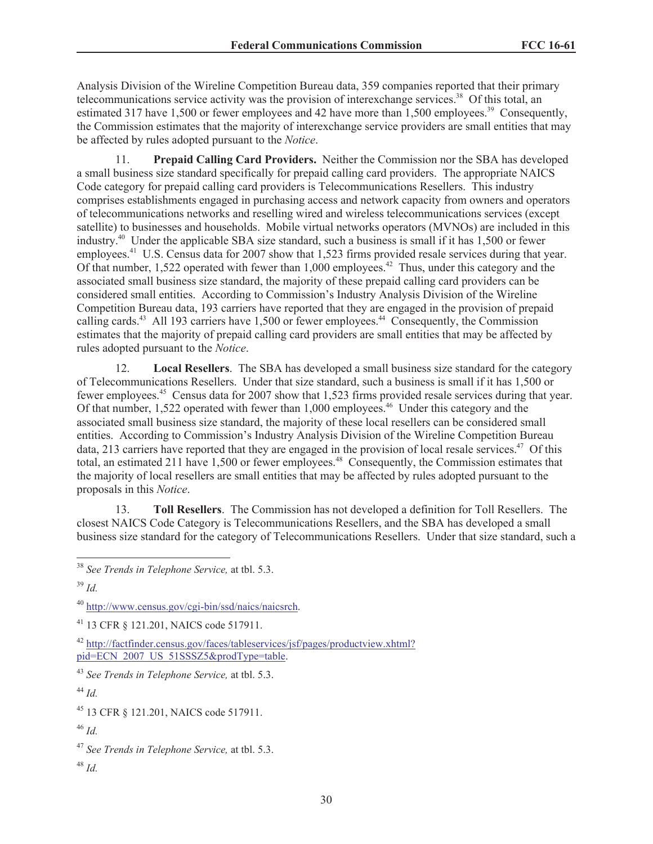Analysis Division of the Wireline Competition Bureau data, 359 companies reported that their primary telecommunications service activity was the provision of interexchange services.<sup>38</sup> Of this total, an estimated 317 have 1,500 or fewer employees and 42 have more than 1,500 employees.<sup>39</sup> Consequently, the Commission estimates that the majority of interexchange service providers are small entities that may be affected by rules adopted pursuant to the *Notice*.

11. **Prepaid Calling Card Providers.** Neither the Commission nor the SBA has developed a small business size standard specifically for prepaid calling card providers. The appropriate NAICS Code category for prepaid calling card providers is Telecommunications Resellers. This industry comprises establishments engaged in purchasing access and network capacity from owners and operators of telecommunications networks and reselling wired and wireless telecommunications services (except satellite) to businesses and households. Mobile virtual networks operators (MVNOs) are included in this industry.<sup>40</sup> Under the applicable SBA size standard, such a business is small if it has 1,500 or fewer employees.<sup>41</sup> U.S. Census data for 2007 show that 1,523 firms provided resale services during that year. Of that number, 1,522 operated with fewer than 1,000 employees.<sup>42</sup> Thus, under this category and the associated small business size standard, the majority of these prepaid calling card providers can be considered small entities. According to Commission's Industry Analysis Division of the Wireline Competition Bureau data, 193 carriers have reported that they are engaged in the provision of prepaid calling cards.<sup>43</sup> All 193 carriers have 1,500 or fewer employees.<sup>44</sup> Consequently, the Commission estimates that the majority of prepaid calling card providers are small entities that may be affected by rules adopted pursuant to the *Notice*.

12. **Local Resellers**. The SBA has developed a small business size standard for the category of Telecommunications Resellers. Under that size standard, such a business is small if it has 1,500 or fewer employees.<sup>45</sup> Census data for 2007 show that 1,523 firms provided resale services during that year. Of that number,  $1,522$  operated with fewer than  $1,000$  employees.<sup>46</sup> Under this category and the associated small business size standard, the majority of these local resellers can be considered small entities. According to Commission's Industry Analysis Division of the Wireline Competition Bureau data, 213 carriers have reported that they are engaged in the provision of local resale services.<sup>47</sup> Of this total, an estimated 211 have 1,500 or fewer employees.<sup>48</sup> Consequently, the Commission estimates that the majority of local resellers are small entities that may be affected by rules adopted pursuant to the proposals in this *Notice*.

13. **Toll Resellers**. The Commission has not developed a definition for Toll Resellers. The closest NAICS Code Category is Telecommunications Resellers, and the SBA has developed a small business size standard for the category of Telecommunications Resellers. Under that size standard, such a

<sup>44</sup> *Id.*

<sup>48</sup> *Id.*

<sup>38</sup> *See Trends in Telephone Service,* at tbl. 5.3.

<sup>39</sup> *Id.*

<sup>40</sup> http://www.census.gov/cgi-bin/ssd/naics/naicsrch.

<sup>41</sup> 13 CFR § 121.201, NAICS code 517911.

<sup>42</sup> http://factfinder.census.gov/faces/tableservices/jsf/pages/productview.xhtml? pid=ECN\_2007\_US\_51SSSZ5&prodType=table.

<sup>43</sup> *See Trends in Telephone Service,* at tbl. 5.3.

<sup>45</sup> 13 CFR § 121.201, NAICS code 517911.

<sup>46</sup> *Id.*

<sup>47</sup> *See Trends in Telephone Service,* at tbl. 5.3.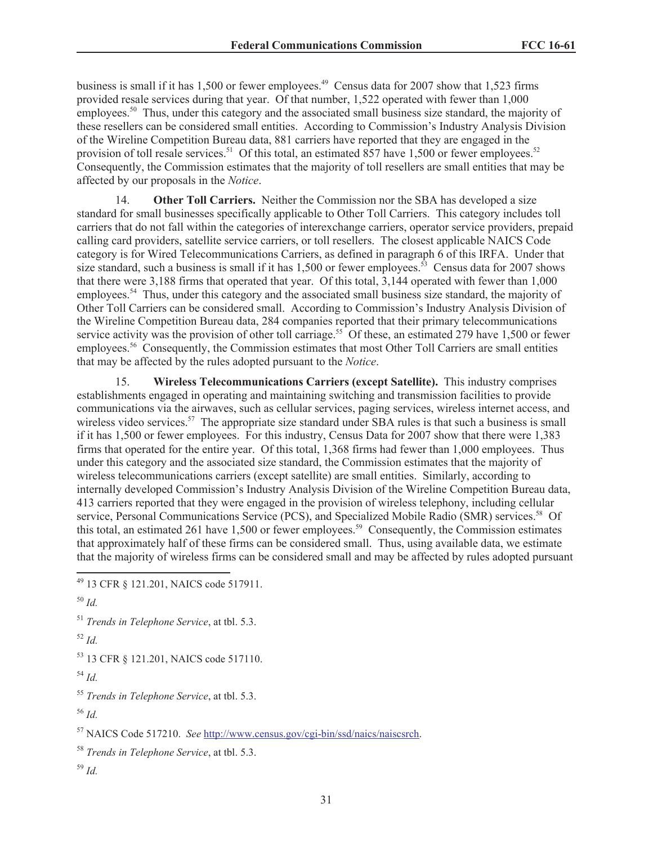business is small if it has 1,500 or fewer employees.<sup>49</sup> Census data for 2007 show that 1,523 firms provided resale services during that year. Of that number, 1,522 operated with fewer than 1,000 employees.<sup>50</sup> Thus, under this category and the associated small business size standard, the majority of these resellers can be considered small entities. According to Commission's Industry Analysis Division of the Wireline Competition Bureau data, 881 carriers have reported that they are engaged in the provision of toll resale services.<sup>51</sup> Of this total, an estimated 857 have 1,500 or fewer employees.<sup>52</sup> Consequently, the Commission estimates that the majority of toll resellers are small entities that may be affected by our proposals in the *Notice*.

14. **Other Toll Carriers.** Neither the Commission nor the SBA has developed a size standard for small businesses specifically applicable to Other Toll Carriers. This category includes toll carriers that do not fall within the categories of interexchange carriers, operator service providers, prepaid calling card providers, satellite service carriers, or toll resellers. The closest applicable NAICS Code category is for Wired Telecommunications Carriers, as defined in paragraph 6 of this IRFA. Under that size standard, such a business is small if it has  $1,500$  or fewer employees.<sup>53</sup> Census data for 2007 shows that there were 3,188 firms that operated that year. Of this total, 3,144 operated with fewer than 1,000 employees.<sup>54</sup> Thus, under this category and the associated small business size standard, the majority of Other Toll Carriers can be considered small. According to Commission's Industry Analysis Division of the Wireline Competition Bureau data, 284 companies reported that their primary telecommunications service activity was the provision of other toll carriage.<sup>55</sup> Of these, an estimated 279 have 1,500 or fewer employees.<sup>56</sup> Consequently, the Commission estimates that most Other Toll Carriers are small entities that may be affected by the rules adopted pursuant to the *Notice*.

15. **Wireless Telecommunications Carriers (except Satellite).** This industry comprises establishments engaged in operating and maintaining switching and transmission facilities to provide communications via the airwaves, such as cellular services, paging services, wireless internet access, and wireless video services.<sup>57</sup> The appropriate size standard under SBA rules is that such a business is small if it has 1,500 or fewer employees. For this industry, Census Data for 2007 show that there were 1,383 firms that operated for the entire year. Of this total, 1,368 firms had fewer than 1,000 employees. Thus under this category and the associated size standard, the Commission estimates that the majority of wireless telecommunications carriers (except satellite) are small entities. Similarly, according to internally developed Commission's Industry Analysis Division of the Wireline Competition Bureau data, 413 carriers reported that they were engaged in the provision of wireless telephony, including cellular service, Personal Communications Service (PCS), and Specialized Mobile Radio (SMR) services.<sup>58</sup> Of this total, an estimated 261 have 1,500 or fewer employees.<sup>59</sup> Consequently, the Commission estimates that approximately half of these firms can be considered small. Thus, using available data, we estimate that the majority of wireless firms can be considered small and may be affected by rules adopted pursuant

<sup>51</sup> *Trends in Telephone Service*, at tbl. 5.3.

```
52 Id.
```
<sup>53</sup> 13 CFR § 121.201, NAICS code 517110.

<sup>54</sup> *Id.*

<sup>55</sup> *Trends in Telephone Service*, at tbl. 5.3.

<sup>56</sup> *Id.*

<sup>57</sup> NAICS Code 517210. *See* http://www.census.gov/cgi-bin/ssd/naics/naiscsrch.

<sup>58</sup> *Trends in Telephone Service*, at tbl. 5.3.

<sup>59</sup> *Id.*

<sup>49</sup> 13 CFR § 121.201, NAICS code 517911.

<sup>50</sup> *Id.*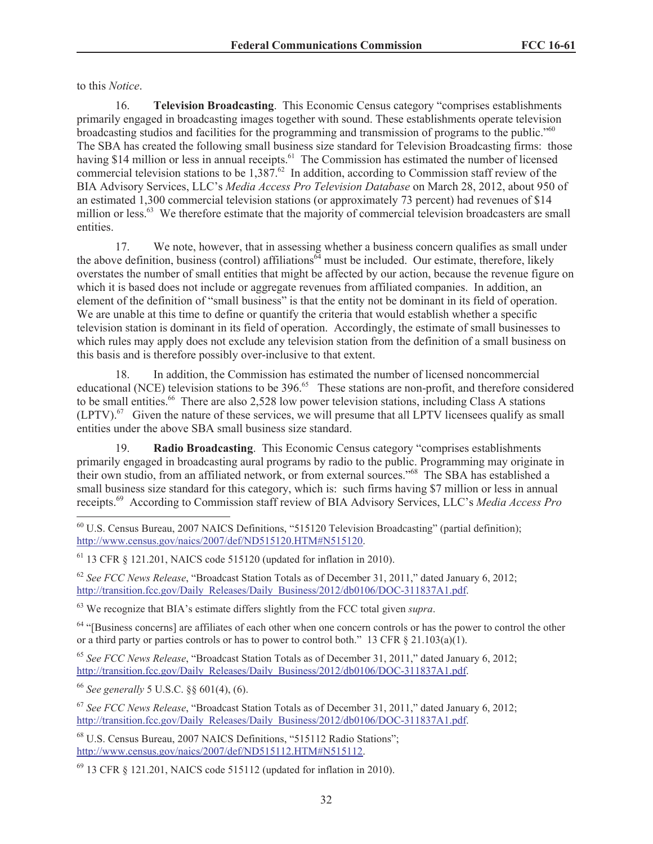to this *Notice*.

16. **Television Broadcasting**. This Economic Census category "comprises establishments primarily engaged in broadcasting images together with sound. These establishments operate television broadcasting studios and facilities for the programming and transmission of programs to the public."<sup>60</sup> The SBA has created the following small business size standard for Television Broadcasting firms: those having \$14 million or less in annual receipts.<sup>61</sup> The Commission has estimated the number of licensed commercial television stations to be  $1,387<sup>62</sup>$  In addition, according to Commission staff review of the BIA Advisory Services, LLC's *Media Access Pro Television Database* on March 28, 2012, about 950 of an estimated 1,300 commercial television stations (or approximately 73 percent) had revenues of \$14 million or less.<sup>63</sup> We therefore estimate that the majority of commercial television broadcasters are small entities.

17. We note, however, that in assessing whether a business concern qualifies as small under the above definition, business (control) affiliations<sup> $64$ </sup> must be included. Our estimate, therefore, likely overstates the number of small entities that might be affected by our action, because the revenue figure on which it is based does not include or aggregate revenues from affiliated companies. In addition, an element of the definition of "small business" is that the entity not be dominant in its field of operation. We are unable at this time to define or quantify the criteria that would establish whether a specific television station is dominant in its field of operation. Accordingly, the estimate of small businesses to which rules may apply does not exclude any television station from the definition of a small business on this basis and is therefore possibly over-inclusive to that extent.

18. In addition, the Commission has estimated the number of licensed noncommercial educational (NCE) television stations to be 396.<sup>65</sup> These stations are non-profit, and therefore considered to be small entities.<sup>66</sup> There are also 2,528 low power television stations, including Class A stations  $(LPTV)$ .<sup>67</sup> Given the nature of these services, we will presume that all LPTV licensees qualify as small entities under the above SBA small business size standard.

19. **Radio Broadcasting**. This Economic Census category "comprises establishments primarily engaged in broadcasting aural programs by radio to the public. Programming may originate in their own studio, from an affiliated network, or from external sources."<sup>68</sup> The SBA has established a small business size standard for this category, which is: such firms having \$7 million or less in annual receipts.<sup>69</sup> According to Commission staff review of BIA Advisory Services, LLC's *Media Access Pro* 

<sup>62</sup> *See FCC News Release*, "Broadcast Station Totals as of December 31, 2011," dated January 6, 2012; http://transition.fcc.gov/Daily\_Releases/Daily\_Business/2012/db0106/DOC-311837A1.pdf.

<sup>63</sup> We recognize that BIA's estimate differs slightly from the FCC total given *supra*.

 $64$  "[Business concerns] are affiliates of each other when one concern controls or has the power to control the other or a third party or parties controls or has to power to control both." 13 CFR  $\S$  21.103(a)(1).

<sup>65</sup> *See FCC News Release*, "Broadcast Station Totals as of December 31, 2011," dated January 6, 2012; http://transition.fcc.gov/Daily\_Releases/Daily\_Business/2012/db0106/DOC-311837A1.pdf.

<sup>66</sup> *See generally* 5 U.S.C. §§ 601(4), (6).

<sup>67</sup> *See FCC News Release*, "Broadcast Station Totals as of December 31, 2011," dated January 6, 2012; http://transition.fcc.gov/Daily\_Releases/Daily\_Business/2012/db0106/DOC-311837A1.pdf.

<sup>68</sup> U.S. Census Bureau, 2007 NAICS Definitions, "515112 Radio Stations"; http://www.census.gov/naics/2007/def/ND515112.HTM#N515112.

 $^{69}$  13 CFR  $\&$  121.201, NAICS code 515112 (updated for inflation in 2010).

<sup>60</sup> U.S. Census Bureau, 2007 NAICS Definitions, "515120 Television Broadcasting" (partial definition); http://www.census.gov/naics/2007/def/ND515120.HTM#N515120.

 $61$  13 CFR  $\&$  121.201, NAICS code 515120 (updated for inflation in 2010).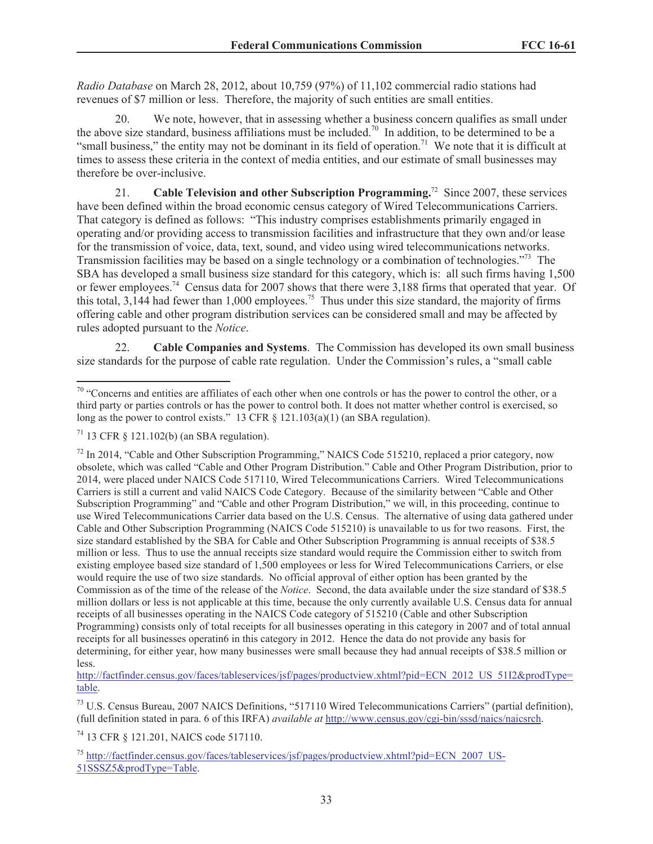*Radio Database* on March 28, 2012, about 10,759 (97%) of 11,102 commercial radio stations had revenues of \$7 million or less. Therefore, the majority of such entities are small entities.

20. We note, however, that in assessing whether a business concern qualifies as small under the above size standard, business affiliations must be included.<sup>70</sup> In addition, to be determined to be a "small business," the entity may not be dominant in its field of operation.<sup>71</sup> We note that it is difficult at times to assess these criteria in the context of media entities, and our estimate of small businesses may therefore be over-inclusive.

21. **Cable Television and other Subscription Programming.**<sup>72</sup> Since 2007, these services have been defined within the broad economic census category of Wired Telecommunications Carriers. That category is defined as follows: "This industry comprises establishments primarily engaged in operating and/or providing access to transmission facilities and infrastructure that they own and/or lease for the transmission of voice, data, text, sound, and video using wired telecommunications networks. Transmission facilities may be based on a single technology or a combination of technologies."<sup>73</sup> The SBA has developed a small business size standard for this category, which is: all such firms having 1,500 or fewer employees.<sup>74</sup> Census data for 2007 shows that there were 3,188 firms that operated that year. Of this total,  $3,144$  had fewer than 1,000 employees.<sup>75</sup> Thus under this size standard, the majority of firms offering cable and other program distribution services can be considered small and may be affected by rules adopted pursuant to the *Notice*.

22. **Cable Companies and Systems**. The Commission has developed its own small business size standards for the purpose of cable rate regulation. Under the Commission's rules, a "small cable

http://factfinder.census.gov/faces/tableservices/jsf/pages/productview.xhtml?pid=ECN\_2012\_US\_51I2&prodType= table.

<sup>73</sup> U.S. Census Bureau, 2007 NAICS Definitions, "517110 Wired Telecommunications Carriers" (partial definition), (full definition stated in para. 6 of this IRFA) *available at* http://www.census.gov/cgi-bin/sssd/naics/naicsrch.

<sup>74</sup> 13 CFR § 121.201, NAICS code 517110.

<sup>75</sup> http://factfinder.census.gov/faces/tableservices/jsf/pages/productview.xhtml?pid=ECN\_2007\_US-51SSSZ5&prodType=Table.

 $70$  "Concerns and entities are affiliates of each other when one controls or has the power to control the other, or a third party or parties controls or has the power to control both. It does not matter whether control is exercised, so long as the power to control exists." 13 CFR  $\S$  121.103(a)(1) (an SBA regulation).

 $71$  13 CFR  $\delta$  121.102(b) (an SBA regulation).

<sup>&</sup>lt;sup>72</sup> In 2014, "Cable and Other Subscription Programming," NAICS Code 515210, replaced a prior category, now obsolete, which was called "Cable and Other Program Distribution." Cable and Other Program Distribution, prior to 2014, were placed under NAICS Code 517110, Wired Telecommunications Carriers. Wired Telecommunications Carriers is still a current and valid NAICS Code Category. Because of the similarity between "Cable and Other Subscription Programming" and "Cable and other Program Distribution," we will, in this proceeding, continue to use Wired Telecommunications Carrier data based on the U.S. Census. The alternative of using data gathered under Cable and Other Subscription Programming (NAICS Code 515210) is unavailable to us for two reasons. First, the size standard established by the SBA for Cable and Other Subscription Programming is annual receipts of \$38.5 million or less. Thus to use the annual receipts size standard would require the Commission either to switch from existing employee based size standard of 1,500 employees or less for Wired Telecommunications Carriers, or else would require the use of two size standards. No official approval of either option has been granted by the Commission as of the time of the release of the *Notice*. Second, the data available under the size standard of \$38.5 million dollars or less is not applicable at this time, because the only currently available U.S. Census data for annual receipts of all businesses operating in the NAICS Code category of 515210 (Cable and other Subscription Programming) consists only of total receipts for all businesses operating in this category in 2007 and of total annual receipts for all businesses operatin6 in this category in 2012. Hence the data do not provide any basis for determining, for either year, how many businesses were small because they had annual receipts of \$38.5 million or less.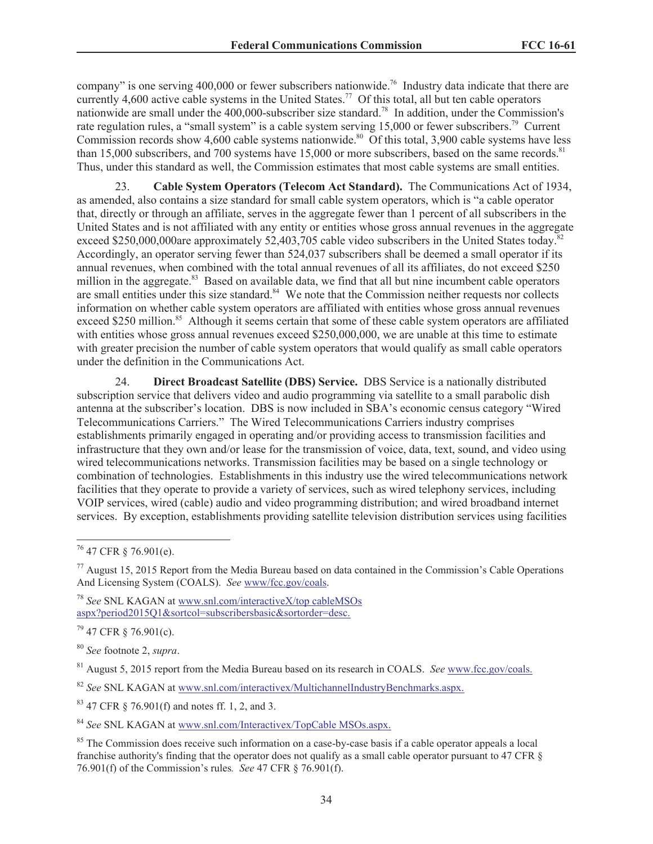company" is one serving 400,000 or fewer subscribers nationwide.<sup>76</sup> Industry data indicate that there are currently 4,600 active cable systems in the United States.<sup>77</sup> Of this total, all but ten cable operators nationwide are small under the 400,000-subscriber size standard.<sup>78</sup> In addition, under the Commission's rate regulation rules, a "small system" is a cable system serving 15,000 or fewer subscribers.<sup>79</sup> Current Commission records show 4,600 cable systems nationwide.<sup>80</sup> Of this total, 3,900 cable systems have less than 15,000 subscribers, and 700 systems have 15,000 or more subscribers, based on the same records.<sup>81</sup> Thus, under this standard as well, the Commission estimates that most cable systems are small entities.

23. **Cable System Operators (Telecom Act Standard).** The Communications Act of 1934, as amended, also contains a size standard for small cable system operators, which is "a cable operator that, directly or through an affiliate, serves in the aggregate fewer than 1 percent of all subscribers in the United States and is not affiliated with any entity or entities whose gross annual revenues in the aggregate exceed \$250,000,000are approximately 52,403,705 cable video subscribers in the United States today.<sup>82</sup> Accordingly, an operator serving fewer than 524,037 subscribers shall be deemed a small operator if its annual revenues, when combined with the total annual revenues of all its affiliates, do not exceed \$250 million in the aggregate.<sup>83</sup> Based on available data, we find that all but nine incumbent cable operators are small entities under this size standard.<sup>84</sup> We note that the Commission neither requests nor collects information on whether cable system operators are affiliated with entities whose gross annual revenues exceed \$250 million.<sup>85</sup> Although it seems certain that some of these cable system operators are affiliated with entities whose gross annual revenues exceed \$250,000,000, we are unable at this time to estimate with greater precision the number of cable system operators that would qualify as small cable operators under the definition in the Communications Act.

24. **Direct Broadcast Satellite (DBS) Service.** DBS Service is a nationally distributed subscription service that delivers video and audio programming via satellite to a small parabolic dish antenna at the subscriber's location. DBS is now included in SBA's economic census category "Wired Telecommunications Carriers." The Wired Telecommunications Carriers industry comprises establishments primarily engaged in operating and/or providing access to transmission facilities and infrastructure that they own and/or lease for the transmission of voice, data, text, sound, and video using wired telecommunications networks. Transmission facilities may be based on a single technology or combination of technologies. Establishments in this industry use the wired telecommunications network facilities that they operate to provide a variety of services, such as wired telephony services, including VOIP services, wired (cable) audio and video programming distribution; and wired broadband internet services. By exception, establishments providing satellite television distribution services using facilities

 $79$  47 CFR § 76.901(c).

<sup>80</sup> *See* footnote 2, *supra*.

<sup>81</sup> August 5, 2015 report from the Media Bureau based on its research in COALS. *See* www.fcc.gov/coals.

<sup>82</sup> *See* SNL KAGAN at www.snl.com/interactivex/MultichannelIndustryBenchmarks.aspx.

<sup>83</sup> 47 CFR § 76.901(f) and notes ff. 1, 2, and 3.

<sup>84</sup> *See* SNL KAGAN at www.snl.com/Interactivex/TopCable MSOs.aspx.

 $76$  47 CFR  $\frac{1}{6}$  76.901(e).

 $77$  August 15, 2015 Report from the Media Bureau based on data contained in the Commission's Cable Operations And Licensing System (COALS). *See* www/fcc.gov/coals.

<sup>78</sup> *See* SNL KAGAN at www.snl.com/interactiveX/top cableMSOs aspx?period2015Q1&sortcol=subscribersbasic&sortorder=desc.

<sup>&</sup>lt;sup>85</sup> The Commission does receive such information on a case-by-case basis if a cable operator appeals a local franchise authority's finding that the operator does not qualify as a small cable operator pursuant to 47 CFR § 76.901(f) of the Commission's rules*. See* 47 CFR § 76.901(f).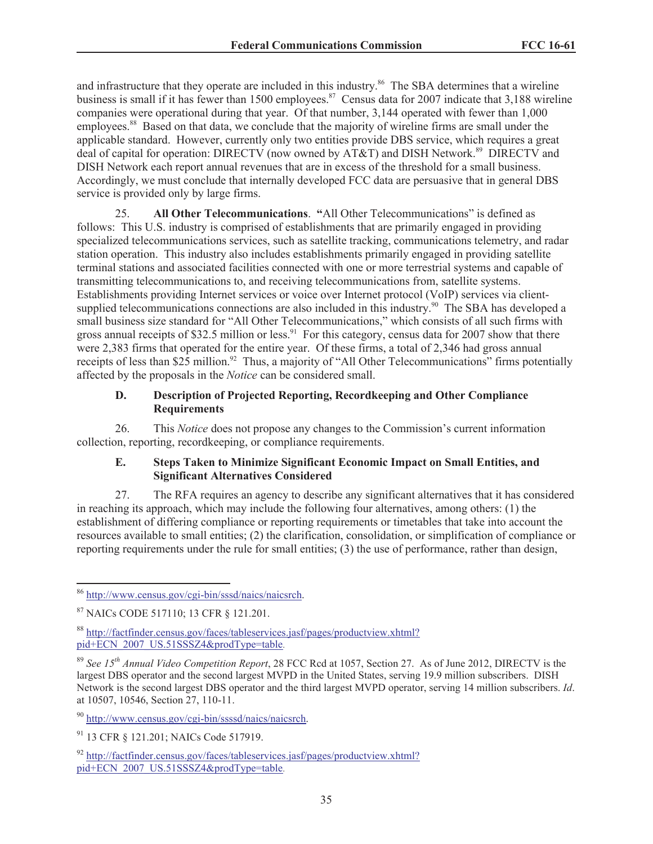and infrastructure that they operate are included in this industry.<sup>86</sup> The SBA determines that a wireline business is small if it has fewer than 1500 employees.<sup>87</sup> Census data for 2007 indicate that 3,188 wireline companies were operational during that year. Of that number, 3,144 operated with fewer than 1,000 employees.<sup>88</sup> Based on that data, we conclude that the majority of wireline firms are small under the applicable standard. However, currently only two entities provide DBS service, which requires a great deal of capital for operation: DIRECTV (now owned by AT&T) and DISH Network.<sup>89</sup> DIRECTV and DISH Network each report annual revenues that are in excess of the threshold for a small business. Accordingly, we must conclude that internally developed FCC data are persuasive that in general DBS service is provided only by large firms.

25. **All Other Telecommunications**. **"**All Other Telecommunications" is defined as follows: This U.S. industry is comprised of establishments that are primarily engaged in providing specialized telecommunications services, such as satellite tracking, communications telemetry, and radar station operation. This industry also includes establishments primarily engaged in providing satellite terminal stations and associated facilities connected with one or more terrestrial systems and capable of transmitting telecommunications to, and receiving telecommunications from, satellite systems. Establishments providing Internet services or voice over Internet protocol (VoIP) services via clientsupplied telecommunications connections are also included in this industry.<sup>90</sup> The SBA has developed a small business size standard for "All Other Telecommunications," which consists of all such firms with gross annual receipts of \$32.5 million or less.<sup>91</sup> For this category, census data for 2007 show that there were 2,383 firms that operated for the entire year. Of these firms, a total of 2,346 had gross annual receipts of less than  $$25$  million.<sup>92</sup> Thus, a majority of "All Other Telecommunications" firms potentially affected by the proposals in the *Notice* can be considered small.

## **D. Description of Projected Reporting, Recordkeeping and Other Compliance Requirements**

26. This *Notice* does not propose any changes to the Commission's current information collection, reporting, recordkeeping, or compliance requirements.

## **E. Steps Taken to Minimize Significant Economic Impact on Small Entities, and Significant Alternatives Considered**

27. The RFA requires an agency to describe any significant alternatives that it has considered in reaching its approach, which may include the following four alternatives, among others: (1) the establishment of differing compliance or reporting requirements or timetables that take into account the resources available to small entities; (2) the clarification, consolidation, or simplification of compliance or reporting requirements under the rule for small entities; (3) the use of performance, rather than design,

<sup>86</sup> http://www.census.gov/cgi-bin/sssd/naics/naicsrch.

<sup>87</sup> NAICs CODE 517110; 13 CFR § 121.201.

<sup>88</sup> http://factfinder.census.gov/faces/tableservices.jasf/pages/productview.xhtml? pid+ECN\_2007\_US.51SSSZ4&prodType=table.

<sup>89</sup> *See 15th Annual Video Competition Report*, 28 FCC Rcd at 1057, Section 27. As of June 2012, DIRECTV is the largest DBS operator and the second largest MVPD in the United States, serving 19.9 million subscribers. DISH Network is the second largest DBS operator and the third largest MVPD operator, serving 14 million subscribers. *Id*. at 10507, 10546, Section 27, 110-11.

<sup>90</sup> http://www.census.gov/cgi-bin/ssssd/naics/naicsrch.

<sup>91</sup> 13 CFR § 121.201; NAICs Code 517919.

 $^{92}$  http://factfinder.census.gov/faces/tableservices.jasf/pages/productview.xhtml? pid+ECN\_2007\_US.51SSSZ4&prodType=table.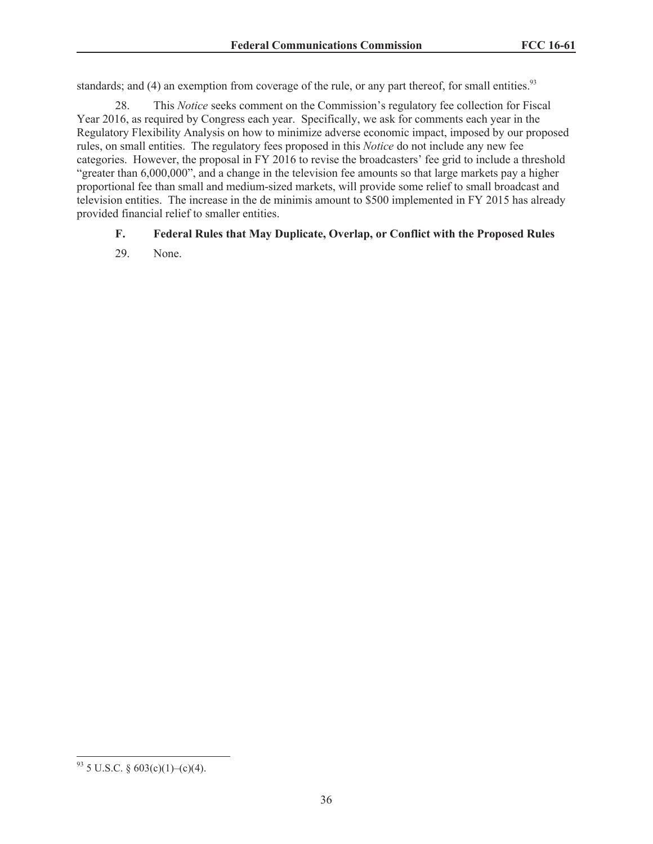standards; and (4) an exemption from coverage of the rule, or any part thereof, for small entities.<sup>93</sup>

28. This *Notice* seeks comment on the Commission's regulatory fee collection for Fiscal Year 2016, as required by Congress each year. Specifically, we ask for comments each year in the Regulatory Flexibility Analysis on how to minimize adverse economic impact, imposed by our proposed rules, on small entities. The regulatory fees proposed in this *Notice* do not include any new fee categories. However, the proposal in FY 2016 to revise the broadcasters' fee grid to include a threshold "greater than 6,000,000", and a change in the television fee amounts so that large markets pay a higher proportional fee than small and medium-sized markets, will provide some relief to small broadcast and television entities. The increase in the de minimis amount to \$500 implemented in FY 2015 has already provided financial relief to smaller entities.

## **F. Federal Rules that May Duplicate, Overlap, or Conflict with the Proposed Rules**

29. None.

 $93$  5 U.S.C. § 603(c)(1)–(c)(4).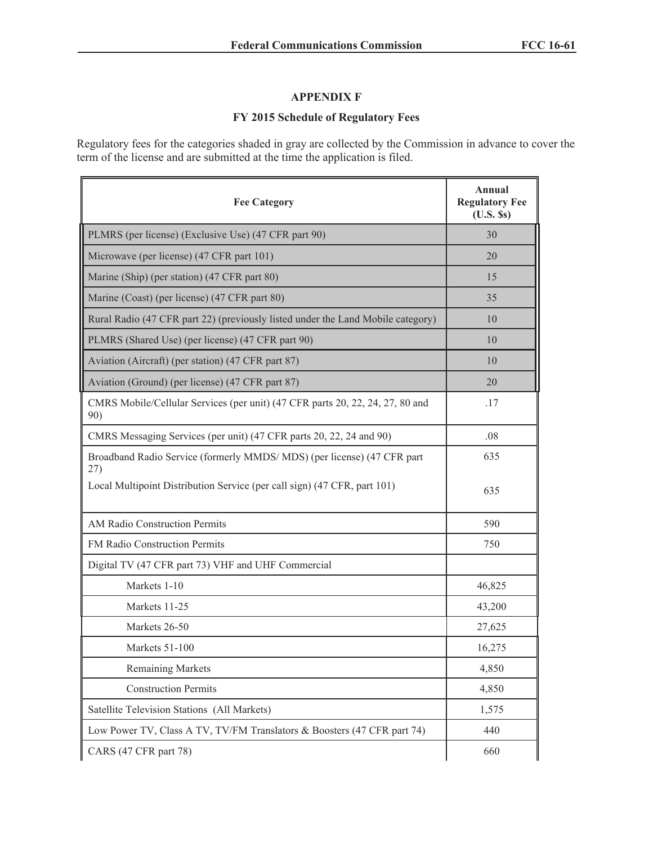# **APPENDIX F**

# **FY 2015 Schedule of Regulatory Fees**

Regulatory fees for the categories shaded in gray are collected by the Commission in advance to cover the term of the license and are submitted at the time the application is filed.

| <b>Fee Category</b>                                                                  | <b>Annual</b><br><b>Regulatory Fee</b><br>$(U.S.$ Ss) |
|--------------------------------------------------------------------------------------|-------------------------------------------------------|
| PLMRS (per license) (Exclusive Use) (47 CFR part 90)                                 | 30                                                    |
| Microwave (per license) (47 CFR part 101)                                            | 20                                                    |
| Marine (Ship) (per station) (47 CFR part 80)                                         | 15                                                    |
| Marine (Coast) (per license) (47 CFR part 80)                                        | 35                                                    |
| Rural Radio (47 CFR part 22) (previously listed under the Land Mobile category)      | 10                                                    |
| PLMRS (Shared Use) (per license) (47 CFR part 90)                                    | 10                                                    |
| Aviation (Aircraft) (per station) (47 CFR part 87)                                   | 10                                                    |
| Aviation (Ground) (per license) (47 CFR part 87)                                     | 20                                                    |
| CMRS Mobile/Cellular Services (per unit) (47 CFR parts 20, 22, 24, 27, 80 and<br>90) | .17                                                   |
| CMRS Messaging Services (per unit) (47 CFR parts 20, 22, 24 and 90)                  | .08                                                   |
| Broadband Radio Service (formerly MMDS/MDS) (per license) (47 CFR part<br>27)        | 635                                                   |
| Local Multipoint Distribution Service (per call sign) (47 CFR, part 101)             | 635                                                   |
| AM Radio Construction Permits                                                        | 590                                                   |
| FM Radio Construction Permits                                                        | 750                                                   |
| Digital TV (47 CFR part 73) VHF and UHF Commercial                                   |                                                       |
| Markets 1-10                                                                         | 46,825                                                |
| Markets 11-25                                                                        | 43,200                                                |
| Markets 26-50                                                                        | 27,625                                                |
| Markets 51-100                                                                       | 16,275                                                |
| <b>Remaining Markets</b>                                                             | 4,850                                                 |
| <b>Construction Permits</b>                                                          | 4,850                                                 |
| Satellite Television Stations (All Markets)                                          | 1,575                                                 |
| Low Power TV, Class A TV, TV/FM Translators & Boosters (47 CFR part 74)              | 440                                                   |
| CARS (47 CFR part 78)                                                                | 660                                                   |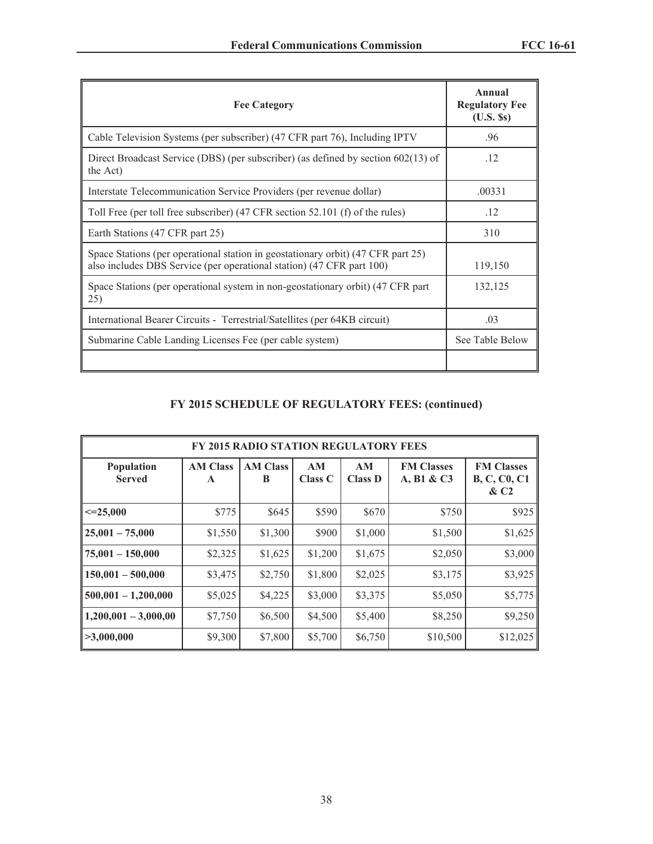| <b>Fee Category</b>                                                                                                                                       | Annual<br><b>Regulatory Fee</b><br>$(U.S.$ Ss) |
|-----------------------------------------------------------------------------------------------------------------------------------------------------------|------------------------------------------------|
| Cable Television Systems (per subscriber) (47 CFR part 76), Including IPTV                                                                                | .96                                            |
| Direct Broadcast Service (DBS) (per subscriber) (as defined by section $602(13)$ of<br>the Act)                                                           | .12                                            |
| Interstate Telecommunication Service Providers (per revenue dollar)                                                                                       | .00331                                         |
| Toll Free (per toll free subscriber) (47 CFR section 52.101 (f) of the rules)                                                                             | .12                                            |
| Earth Stations (47 CFR part 25)                                                                                                                           | 310                                            |
| Space Stations (per operational station in geostationary orbit) (47 CFR part 25)<br>also includes DBS Service (per operational station) (47 CFR part 100) | 119,150                                        |
| Space Stations (per operational system in non-geostationary orbit) (47 CFR part<br>25)                                                                    | 132,125                                        |
| International Bearer Circuits - Terrestrial/Satellites (per 64KB circuit)                                                                                 | .03                                            |
| Submarine Cable Landing Licenses Fee (per cable system)                                                                                                   | See Table Below                                |
|                                                                                                                                                           |                                                |

# **FY 2015 SCHEDULE OF REGULATORY FEES: (continued)**

| <b>FY 2015 RADIO STATION REGULATORY FEES</b> |                      |                      |               |                      |                                 |                                                    |  |
|----------------------------------------------|----------------------|----------------------|---------------|----------------------|---------------------------------|----------------------------------------------------|--|
| Population<br><b>Served</b>                  | <b>AM Class</b><br>A | <b>AM Class</b><br>B | AM<br>Class C | AM<br><b>Class D</b> | <b>FM Classes</b><br>A, B1 & C3 | <b>FM Classes</b><br><b>B, C, C0, C1</b><br>$\&C2$ |  |
| $\leq$ -25,000                               | \$775                | \$645                | \$590         | \$670                | \$750                           | \$925                                              |  |
| $25,001 - 75,000$                            | \$1,550              | \$1,300              | \$900         | \$1,000              | \$1,500                         | \$1,625                                            |  |
| $75,001 - 150,000$                           | \$2,325              | \$1,625              | \$1,200       | \$1,675              | \$2,050                         | \$3,000                                            |  |
| $150,001 - 500,000$                          | \$3,475              | \$2,750              | \$1,800       | \$2,025              | \$3,175                         | \$3,925                                            |  |
| $500,001 - 1,200,000$                        | \$5,025              | \$4,225              | \$3,000       | \$3,375              | \$5,050                         | \$5,775                                            |  |
| $1,200,001 - 3,000,00$                       | \$7,750              | \$6,500              | \$4,500       | \$5,400              | \$8,250                         | \$9,250                                            |  |
| >3,000,000                                   | \$9,300              | \$7,800              | \$5,700       | \$6,750              | \$10,500                        | \$12,025                                           |  |